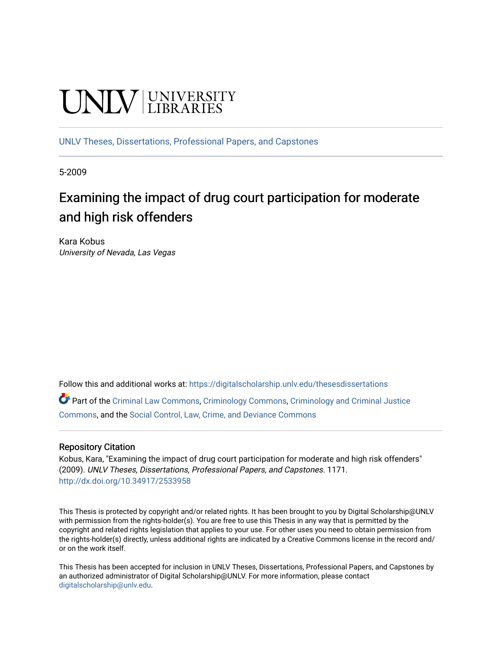# **UNIVERSITY**

[UNLV Theses, Dissertations, Professional Papers, and Capstones](https://digitalscholarship.unlv.edu/thesesdissertations)

5-2009

# Examining the impact of drug court participation for moderate and high risk offenders

Kara Kobus University of Nevada, Las Vegas

Follow this and additional works at: [https://digitalscholarship.unlv.edu/thesesdissertations](https://digitalscholarship.unlv.edu/thesesdissertations?utm_source=digitalscholarship.unlv.edu%2Fthesesdissertations%2F1171&utm_medium=PDF&utm_campaign=PDFCoverPages)

Part of the [Criminal Law Commons,](http://network.bepress.com/hgg/discipline/912?utm_source=digitalscholarship.unlv.edu%2Fthesesdissertations%2F1171&utm_medium=PDF&utm_campaign=PDFCoverPages) [Criminology Commons,](http://network.bepress.com/hgg/discipline/417?utm_source=digitalscholarship.unlv.edu%2Fthesesdissertations%2F1171&utm_medium=PDF&utm_campaign=PDFCoverPages) [Criminology and Criminal Justice](http://network.bepress.com/hgg/discipline/367?utm_source=digitalscholarship.unlv.edu%2Fthesesdissertations%2F1171&utm_medium=PDF&utm_campaign=PDFCoverPages)  [Commons](http://network.bepress.com/hgg/discipline/367?utm_source=digitalscholarship.unlv.edu%2Fthesesdissertations%2F1171&utm_medium=PDF&utm_campaign=PDFCoverPages), and the [Social Control, Law, Crime, and Deviance Commons](http://network.bepress.com/hgg/discipline/429?utm_source=digitalscholarship.unlv.edu%2Fthesesdissertations%2F1171&utm_medium=PDF&utm_campaign=PDFCoverPages) 

#### Repository Citation

Kobus, Kara, "Examining the impact of drug court participation for moderate and high risk offenders" (2009). UNLV Theses, Dissertations, Professional Papers, and Capstones. 1171. <http://dx.doi.org/10.34917/2533958>

This Thesis is protected by copyright and/or related rights. It has been brought to you by Digital Scholarship@UNLV with permission from the rights-holder(s). You are free to use this Thesis in any way that is permitted by the copyright and related rights legislation that applies to your use. For other uses you need to obtain permission from the rights-holder(s) directly, unless additional rights are indicated by a Creative Commons license in the record and/ or on the work itself.

This Thesis has been accepted for inclusion in UNLV Theses, Dissertations, Professional Papers, and Capstones by an authorized administrator of Digital Scholarship@UNLV. For more information, please contact [digitalscholarship@unlv.edu](mailto:digitalscholarship@unlv.edu).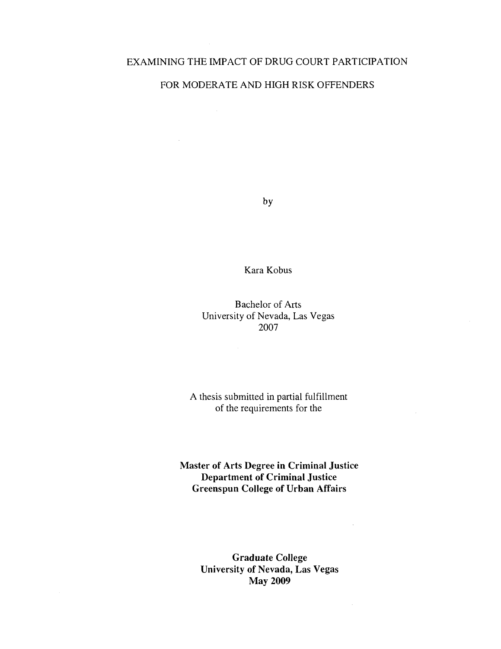#### EXAMINING THE IMPACT OF DRUG COURT PARTICIPATION

#### FOR MODERATE AND HIGH RISK OFFENDERS

 $\sim 10^{-10}$ 

by

Kara Kobus

Bachelor of Arts University of Nevada, Las Vegas 2007

A thesis submitted in partial fulfillment of the requirements for the

**Master of Arts Degree in Criminal Justice Department of Criminal Justice Greenspun College of Urban Affairs** 

> **Graduate College University of Nevada, Las Vegas May 2009**

 $\bar{z}$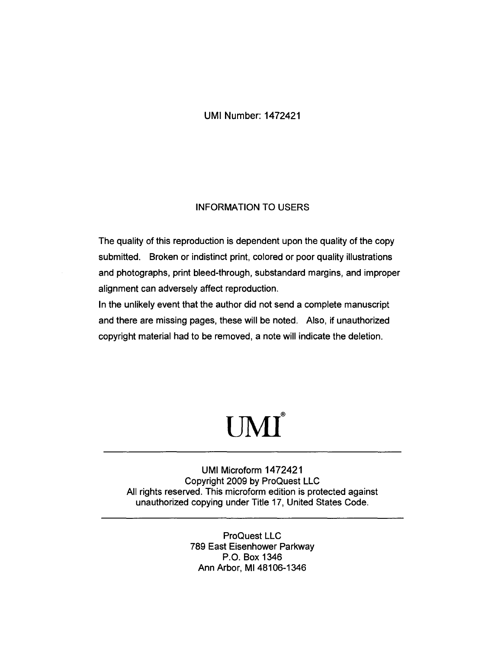UMI Number: 1472421

#### INFORMATION TO USERS

The quality of this reproduction is dependent upon the quality of the copy submitted. Broken or indistinct print, colored or poor quality illustrations and photographs, print bleed-through, substandard margins, and improper alignment can adversely affect reproduction.

In the unlikely event that the author did not send a complete manuscript and there are missing pages, these will be noted. Also, if unauthorized copyright material had to be removed, a note will indicate the deletion.

# **®** UMI

UMI Microform 1472421 Copyright 2009 by ProQuest LLC All rights reserved. This microform edition is protected against unauthorized copying under Title 17, United States Code.

> ProQuest LLC 789 East Eisenhower Parkway P.O. Box 1346 Ann Arbor, Ml 48106-1346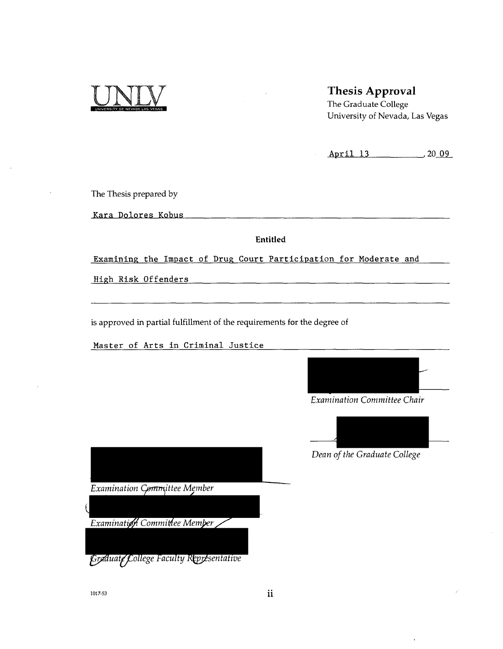

#### Thesis Approval

The Graduate College University of Nevada, Las Vegas

April 13 , 20 09

The Thesis prepared by

Kara Dolores Kobus

Entitled

Examining the Impact of Drug Court Participation for Moderate and

High Risk Offenders

is approved in partial fulfillment of the requirements for the degree of

Master of Arts in Criminal Justice



*Examination Committee Chair* 



*Dean of the Graduate College* 

Examination Committee Member

Examination Committee Memper

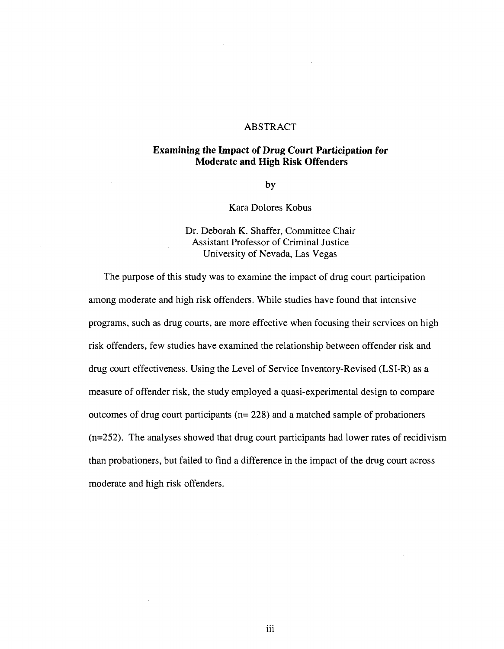#### ABSTRACT

#### **Examining the Impact of Drug Court Participation for Moderate and High Risk Offenders**

by

#### Kara Dolores Kobus

# Dr. Deborah K. Shaffer, Committee Chair Assistant Professor of Criminal Justice

The purpose of this study was to examine the impact of drug court participation among moderate and high risk offenders. While studies have found that intensive programs, such as drug courts, are more effective when focusing their services on high risk offenders, few studies have examined the relationship between offender risk and drug court effectiveness. Using the Level of Service Inventory-Revised (LSI-R) as a measure of offender risk, the study employed a quasi-experimental design to compare outcomes of drug court participants ( $n = 228$ ) and a matched sample of probationers  $(n=252)$ . The analyses showed that drug court participants had lower rates of recidivism than probationers, but failed to find a difference in the impact of the drug court across moderate and high risk offenders.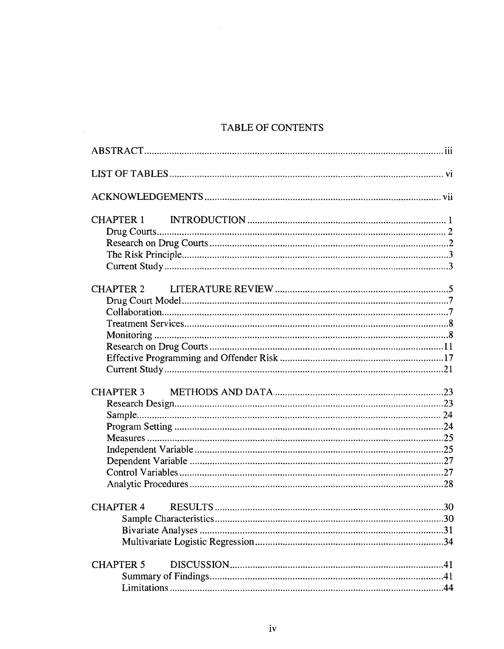### TABLE OF CONTENTS

 $\sim 10^{11}$  km  $^{-1}$ 

 $\mathcal{L}_{\mathcal{A}}$ 

| CHAPTER 1        |
|------------------|
| CHAPTER 2        |
|                  |
|                  |
| <b>CHAPTER 5</b> |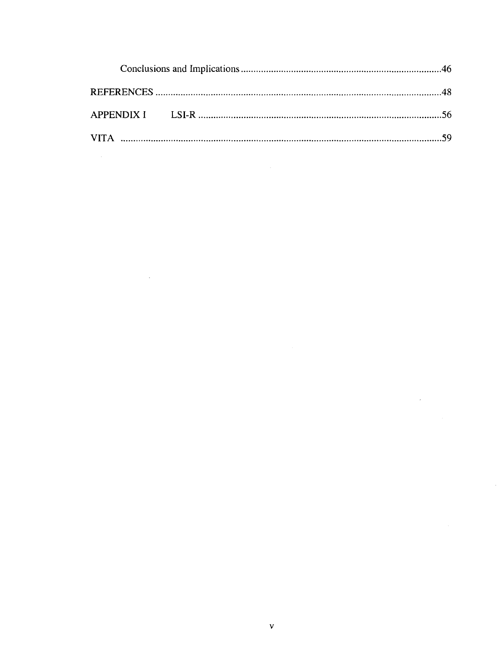$\label{eq:2.1} \frac{1}{\sqrt{2}}\left(\frac{1}{\sqrt{2}}\right)^{2} \left(\frac{1}{\sqrt{2}}\right)^{2} \left(\frac{1}{\sqrt{2}}\right)^{2} \left(\frac{1}{\sqrt{2}}\right)^{2} \left(\frac{1}{\sqrt{2}}\right)^{2} \left(\frac{1}{\sqrt{2}}\right)^{2} \left(\frac{1}{\sqrt{2}}\right)^{2} \left(\frac{1}{\sqrt{2}}\right)^{2} \left(\frac{1}{\sqrt{2}}\right)^{2} \left(\frac{1}{\sqrt{2}}\right)^{2} \left(\frac{1}{\sqrt{2}}\right)^{2} \left(\$ 

 $\frac{1}{2}$  ,  $\frac{1}{2}$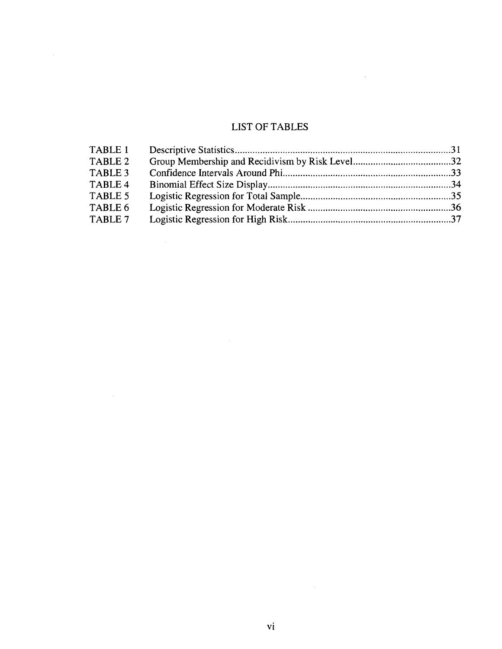# LIST OF TABLES

 $\sim 10^{-10}$ 

| TABLE 1 |  |
|---------|--|
| TABLE 2 |  |
| TABLE 3 |  |
| TABLE 4 |  |
| TABLE 5 |  |
| TABLE 6 |  |
| TABLE 7 |  |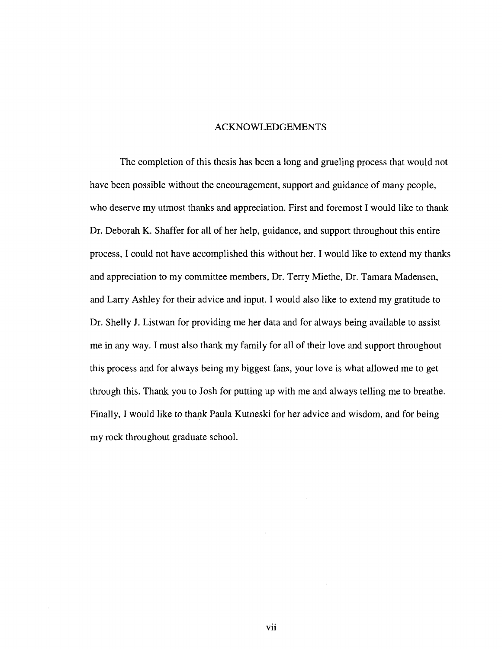#### ACKNOWLEDGEMENTS

The completion of this thesis has been a long and grueling process that would not have been possible without the encouragement, support and guidance of many people, who deserve my utmost thanks and appreciation. First and foremost I would like to thank Dr. Deborah K. Shaffer for all of her help, guidance, and support throughout this entire process, I could not have accomplished this without her. I would like to extend my thanks and appreciation to my committee members, Dr. Terry Miethe, Dr. Tamara Madensen, and Larry Ashley for their advice and input. I would also like to extend my gratitude to Dr. Shelly J. Listwan for providing me her data and for always being available to assist me in any way. I must also thank my family for all of their love and support throughout this process and for always being my biggest fans, your love is what allowed me to get through this. Thank you to Josh for putting up with me and always telling me to breathe. Finally, I would like to thank Paula Kutneski for her advice and wisdom, and for being my rock throughout graduate school.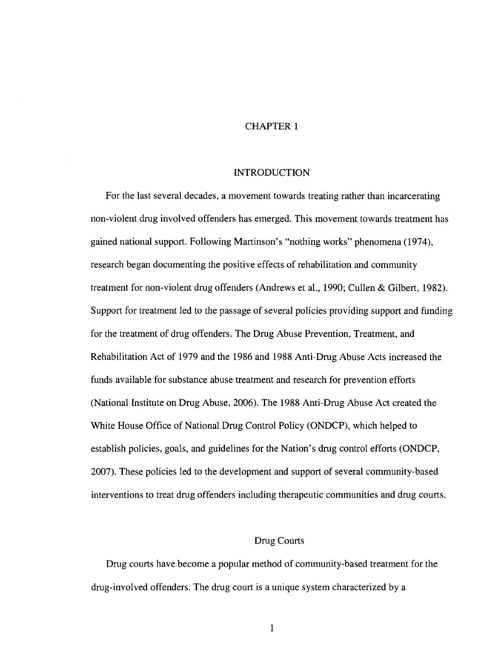#### CHAPTER 1

#### INTRODUCTION

For the last several decades, a movement towards treating rather than incarcerating non-violent drug involved offenders has emerged. This movement towards treatment has gained national support. Following Martinson's "nothing works" phenomena (1974), research began documenting the positive effects of rehabilitation and community treatment for non-violent drug offenders (Andrews et al., 1990; Cullen & Gilbert, 1982). Support for treatment led to the passage of several policies providing support and funding for the treatment of drug offenders. The Drug Abuse Prevention, Treatment, and Rehabilitation Act of 1979 and the 1986 and 1988 Anti-Drug Abuse Acts increased the funds available for substance abuse treatment and research for prevention efforts (National Institute on Drug Abuse, 2006). The 1988 Anti-Drug Abuse Act created the White House Office of National Drug Control Policy (ONDCP), which helped to establish policies, goals, and guidelines for the Nation's drug control efforts (ONDCP, 2007). These policies led to the development and support of several community-based interventions to treat drug offenders including therapeutic communities and drug courts.

#### Drug Courts

Drug courts have become a popular method of community-based treatment for the drug-involved offenders. The drug court is a unique system characterized by a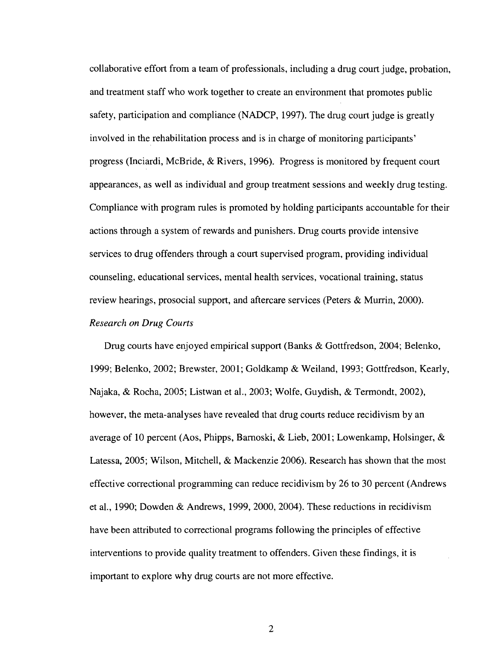collaborative effort from a team of professionals, including a drug court judge, probation, and treatment staff who work together to create an environment that promotes public safety, participation and compliance (NADCP, 1997). The drug court judge is greatly involved in the rehabilitation process and is in charge of monitoring participants' progress (Inciardi, McBride, & Rivers, 1996). Progress is monitored by frequent court appearances, as well as individual and group treatment sessions and weekly drug testing. Compliance with program rules is promoted by holding participants accountable for their actions through a system of rewards and punishers. Drug courts provide intensive services to drug offenders through a court supervised program, providing individual counseling, educational services, mental health services, vocational training, status review hearings, prosocial support, and aftercare services (Peters & Murrin, 2000). *Research on Drug Courts* 

Drug courts have enjoyed empirical support (Banks & Gottfredson, 2004; Belenko, 1999; Belenko, 2002; Brewster, 2001; Goldkamp & Weiland, 1993; Gottfredson, Kearly, Najaka, & Rocha, 2005; Listwan et al., 2003; Wolfe, Guydish, & Termondt, 2002), however, the meta-analyses have revealed that drug courts reduce recidivism by an average of 10 percent (Aos, Phipps, Barnoski, & Lieb, 2001; Lowenkamp, Holsinger, & Latessa, 2005; Wilson, Mitchell, & Mackenzie 2006). Research has shown that the most effective correctional programming can reduce recidivism by 26 to 30 percent (Andrews et al., 1990; Dowden & Andrews, 1999, 2000, 2004). These reductions in recidivism have been attributed to correctional programs following the principles of effective interventions to provide quality treatment to offenders. Given these findings, it is important to explore why drug courts are not more effective.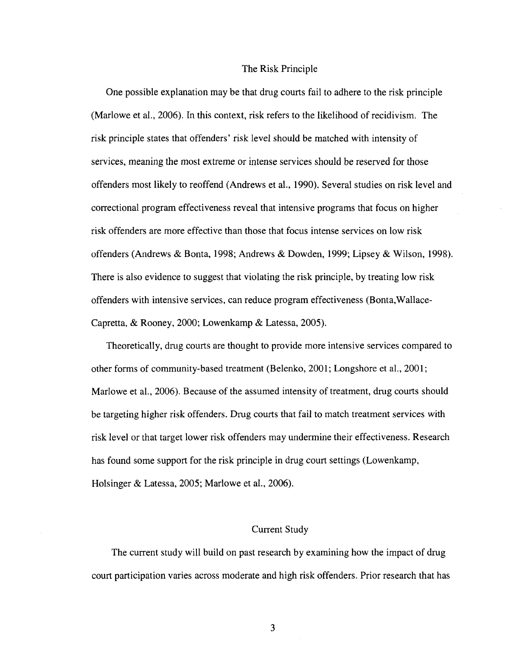#### The Risk Principle

One possible explanation may be that drug courts fail to adhere to the risk principle (Marlowe et al., 2006). In this context, risk refers to the likelihood of recidivism. The risk principle states that offenders' risk level should be matched with intensity of services, meaning the most extreme or intense services should be reserved for those offenders most likely to reoffend (Andrews et al., 1990). Several studies on risk level and correctional program effectiveness reveal that intensive programs that focus on higher risk offenders are more effective than those that focus intense services on low risk offenders (Andrews & Bonta, 1998; Andrews & Dowden, 1999; Lipsey & Wilson, 1998). There is also evidence to suggest that violating the risk principle, by treating low risk offenders with intensive services, can reduce program effectiveness (Bonta,Wallace-Capretta, & Rooney, 2000; Lowenkamp & Latessa, 2005).

Theoretically, drug courts are thought to provide more intensive services compared to other forms of community-based treatment (Belenko, 2001; Longshore et al, 2001; Marlowe et al., 2006). Because of the assumed intensity of treatment, drug courts should be targeting higher risk offenders. Drug courts that fail to match treatment services with risk level or that target lower risk offenders may undermine their effectiveness. Research has found some support for the risk principle in drug court settings (Lowenkamp, Holsinger & Latessa, 2005; Marlowe et al., 2006).

#### Current Study

The current study will build on past research by examining how the impact of drug court participation varies across moderate and high risk offenders. Prior research that has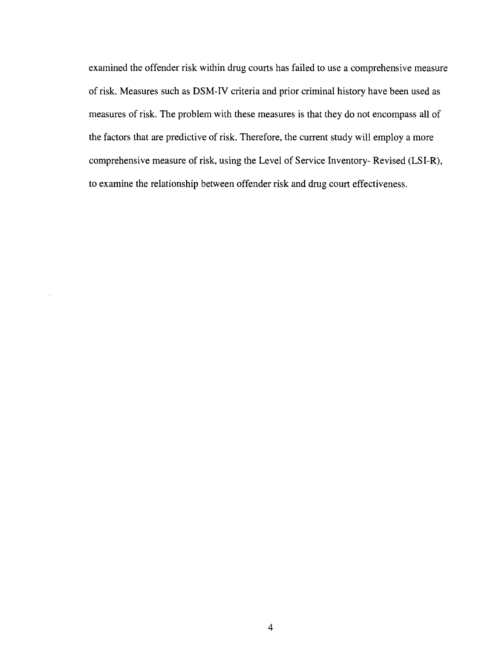examined the offender risk within drug courts has failed to use a comprehensive measure of risk. Measures such as DSM-IV criteria and prior criminal history have been used as measures of risk. The problem with these measures is that they do not encompass all of the factors that are predictive of risk. Therefore, the current study will employ a more comprehensive measure of risk, using the Level of Service Inventory- Revised (LSI-R), to examine the relationship between offender risk and drug court effectiveness.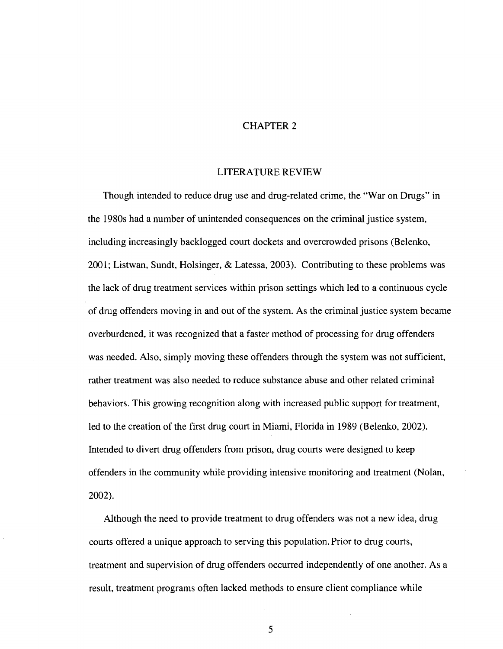#### CHAPTER 2

#### LITERATURE REVIEW

Though intended to reduce drug use and drug-related crime, the "War on Drugs" in the 1980s had a number of unintended consequences on the criminal justice system, including increasingly backlogged court dockets and overcrowded prisons (Belenko, 2001; Listwan, Sundt, Holsinger, & Latessa, 2003). Contributing to these problems was the lack of drug treatment services within prison settings which led to a continuous cycle of drug offenders moving in and out of the system. As the criminal justice system became overburdened, it was recognized that a faster method of processing for drug offenders was needed. Also, simply moving these offenders through the system was not sufficient, rather treatment was also needed to reduce substance abuse and other related criminal behaviors. This growing recognition along with increased public support for treatment, led to the creation of the first drug court in Miami, Florida in 1989 (Belenko, 2002). Intended to divert drug offenders from prison, drug courts were designed to keep offenders in the community while providing intensive monitoring and treatment (Nolan, 2002).

Although the need to provide treatment to drug offenders was not a new idea, drug courts offered a unique approach to serving this population. Prior to drug courts, treatment and supervision of drug offenders occurred independently of one another. As a result, treatment programs often lacked methods to ensure client compliance while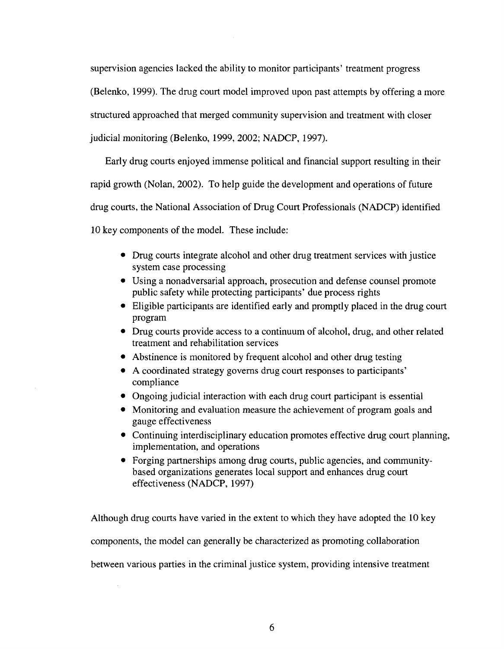supervision agencies lacked the ability to monitor participants' treatment progress (Belenko, 1999). The drug court model improved upon past attempts by offering a more structured approached that merged community supervision and treatment with closer judicial monitoring (Belenko, 1999, 2002; NADCP, 1997).

Early drug courts enjoyed immense political and financial support resulting in their rapid growth (Nolan, 2002). To help guide the development and operations of future drug courts, the National Association of Drug Court Professionals (NADCP) identified

10 key components of the model. These include:

- Drug courts integrate alcohol and other drug treatment services with justice system case processing
- Using a nonadversarial approach, prosecution and defense counsel promote public safety while protecting participants' due process rights
- Eligible participants are identified early and promptly placed in the drug court program
- Drug courts provide access to a continuum of alcohol, drug, and other related treatment and rehabilitation services
- Abstinence is monitored by frequent alcohol and other drug testing
- A coordinated strategy governs drug court responses to participants' compliance
- Ongoing judicial interaction with each drug court participant is essential
- Monitoring and evaluation measure the achievement of program goals and gauge effectiveness
- Continuing interdisciplinary education promotes effective drug court planning, implementation, and operations
- Forging partnerships among drug courts, public agencies, and communitybased organizations generates local support and enhances drug court effectiveness (NADCP, 1997)

Although drug courts have varied in the extent to which they have adopted the 10 key components, the model can generally be characterized as promoting collaboration between various parties in the criminal justice system, providing intensive treatment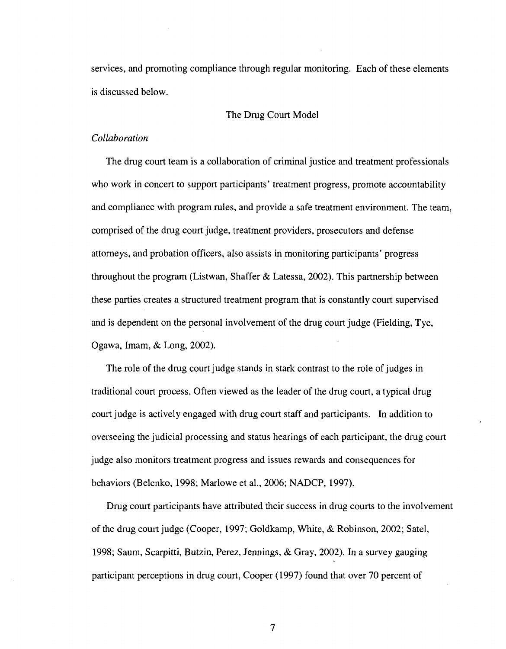services, and promoting compliance through regular monitoring. Each of these elements is discussed below.

#### The Drug Court Model

#### *Collaboration*

The drug court team is a collaboration of criminal justice and treatment professionals who work in concert to support participants' treatment progress, promote accountability and compliance with program rules, and provide a safe treatment environment. The team, comprised of the drug court judge, treatment providers, prosecutors and defense attorneys, and probation officers, also assists in monitoring participants' progress throughout the program (Listwan, Shaffer & Latessa, 2002). This partnership between these parties creates a structured treatment program that is constantly court supervised and is dependent on the personal involvement of the drug court judge (Fielding, Tye, Ogawa, Imam, & Long, 2002).

The role of the drug court judge stands in stark contrast to the role of judges in traditional court process. Often viewed as the leader of the drug court, a typical drug court judge is actively engaged with drug court staff and participants. In addition to overseeing the judicial processing and status hearings of each participant, the drug court judge also monitors treatment progress and issues rewards and consequences for behaviors (Belenko, 1998; Marlowe et al., 2006; NADCP, 1997).

Drug court participants have attributed their success in drug courts to the involvement of the drug court judge (Cooper, 1997; Goldkamp, White, & Robinson, 2002; Satel, 1998; Saum, Scarpitti, Butzin, Perez, Jennings, & Gray, 2002). In a survey gauging participant perceptions in drug court, Cooper (1997) found that over 70 percent of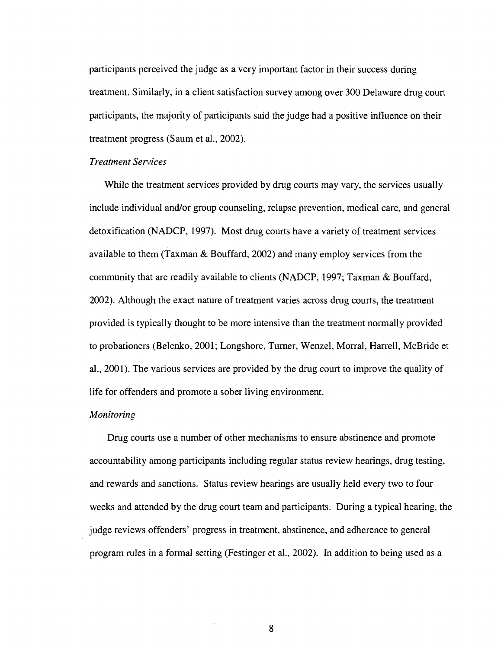participants perceived the judge as a very important factor in their success during treatment. Similarly, in a client satisfaction survey among over 300 Delaware drug court participants, the majority of participants said the judge had a positive influence on their treatment progress (Saum et al., 2002).

#### *Treatment Services*

While the treatment services provided by drug courts may vary, the services usually include individual and/or group counseling, relapse prevention, medical care, and general detoxification (NADCP, 1997). Most drug courts have a variety of treatment services available to them (Taxman & Bouffard, 2002) and many employ services from the community that are readily available to clients (NADCP, 1997; Taxman & Bouffard, 2002). Although the exact nature of treatment varies across drug courts, the treatment provided is typically thought to be more intensive than the treatment normally provided to probationers (Belenko, 2001; Longshore, Turner, Wenzel, Morral, Harrell, McBride et al., 2001). The various services are provided by the drug court to improve the quality of life for offenders and promote a sober living environment.

#### *Monitoring*

Drug courts use a number of other mechanisms to ensure abstinence and promote accountability among participants including regular status review hearings, drug testing, and rewards and sanctions. Status review hearings are usually held every two to four weeks and attended by the drug court team and participants. During a typical hearing, the judge reviews offenders' progress in treatment, abstinence, and adherence to general program rules in a formal setting (Festinger et al., 2002). In addition to being used as a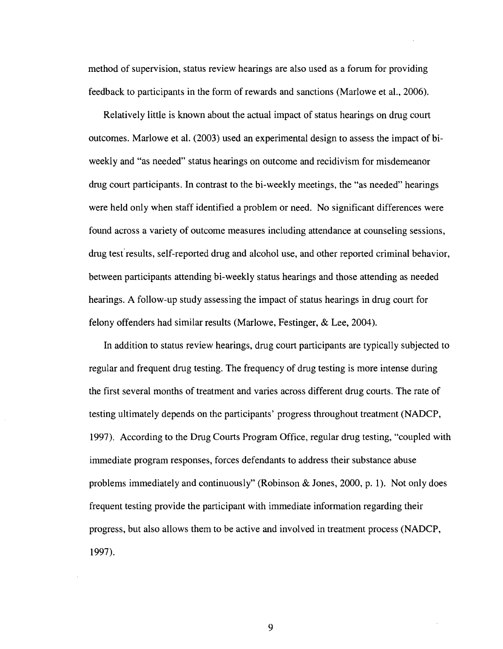method of supervision, status review hearings are also used as a forum for providing feedback to participants in the form of rewards and sanctions (Marlowe et al., 2006).

Relatively little is known about the actual impact of status hearings on drug court outcomes. Marlowe et al. (2003) used an experimental design to assess the impact of biweekly and "as needed" status hearings on outcome and recidivism for misdemeanor drug court participants. In contrast to the bi-weekly meetings, the "as needed" hearings were held only when staff identified a problem or need. No significant differences were found across a variety of outcome measures including attendance at counseling sessions, drug test results, self-reported drug and alcohol use, and other reported criminal behavior, between participants attending bi-weekly status hearings and those attending as needed hearings. A follow-up study assessing the impact of status hearings in drug court for felony offenders had similar results (Marlowe, Festinger, & Lee, 2004).

In addition to status review hearings, drug court participants are typically subjected to regular and frequent drug testing. The frequency of drug testing is more intense during the first several months of treatment and varies across different drug courts. The rate of testing ultimately depends on the participants' progress throughout treatment (NADCP, 1997). According to the Drug Courts Program Office, regular drug testing, "coupled with immediate program responses, forces defendants to address their substance abuse problems immediately and continuously" (Robinson & Jones, 2000, p. 1). Not only does frequent testing provide the participant with immediate information regarding their progress, but also allows them to be active and involved in treatment process (NADCP, 1997).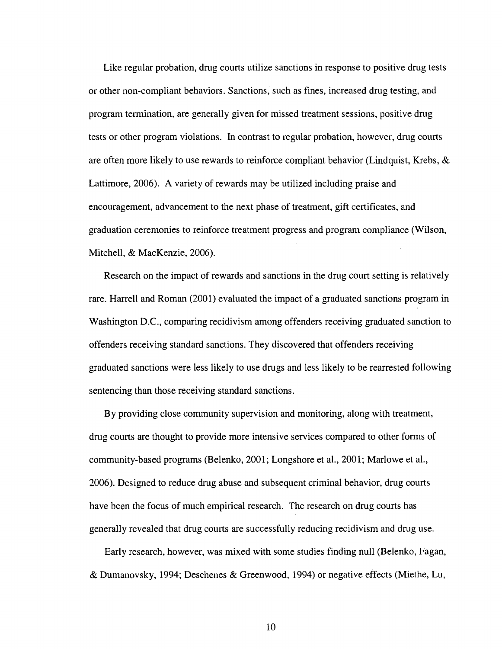Like regular probation, drug courts utilize sanctions in response to positive drug tests or other non-compliant behaviors. Sanctions, such as fines, increased drug testing, and program termination, are generally given for missed treatment sessions, positive drug tests or other program violations. In contrast to regular probation, however, drug courts are often more likely to use rewards to reinforce compliant behavior (Lindquist, Krebs, & Lattimore, 2006). A variety of rewards may be utilized including praise and encouragement, advancement to the next phase of treatment, gift certificates, and graduation ceremonies to reinforce treatment progress and program compliance (Wilson, Mitchell, & MacKenzie, 2006).

Research on the impact of rewards and sanctions in the drug court setting is relatively rare. Harrell and Roman (2001) evaluated the impact of a graduated sanctions program in Washington D.C., comparing recidivism among offenders receiving graduated sanction to offenders receiving standard sanctions. They discovered that offenders receiving graduated sanctions were less likely to use drugs and less likely to be rearrested following sentencing than those receiving standard sanctions.

By providing close community supervision and monitoring, along with treatment, drug courts are thought to provide more intensive services compared to other forms of community-based programs (Belenko, 2001; Longshore et al., 2001; Marlowe et al., 2006). Designed to reduce drug abuse and subsequent criminal behavior, drug courts have been the focus of much empirical research. The research on drug courts has generally revealed that drug courts are successfully reducing recidivism and drug use.

Early research, however, was mixed with some studies finding null (Belenko, Fagan, & Dumanovsky, 1994; Deschenes & Greenwood, 1994) or negative effects (Miethe, Lu,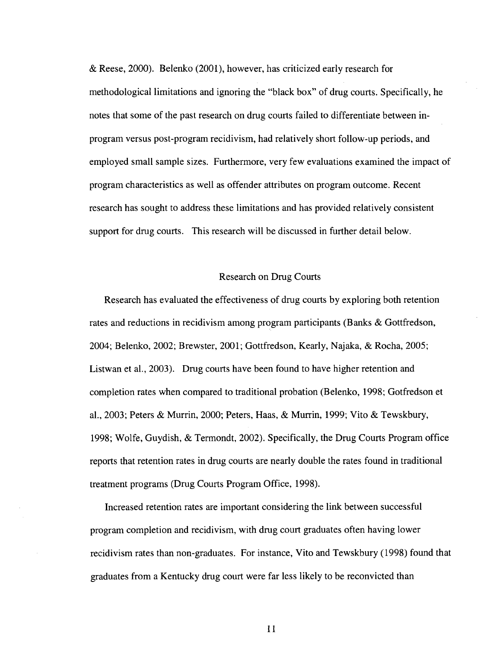& Reese, 2000). Belenko (2001), however, has criticized early research for methodological limitations and ignoring the "black box" of drug courts. Specifically, he notes that some of the past research on drug courts failed to differentiate between inprogram versus post-program recidivism, had relatively short follow-up periods, and employed small sample sizes. Furthermore, very few evaluations examined the impact of program characteristics as well as offender attributes on program outcome. Recent research has sought to address these limitations and has provided relatively consistent support for drug courts. This research will be discussed in further detail below.

#### Research on Drug Courts

Research has evaluated the effectiveness of drug courts by exploring both retention rates and reductions in recidivism among program participants (Banks & Gottfredson, 2004; Belenko, 2002; Brewster, 2001; Gottfredson, Kearly, Najaka, & Rocha, 2005; Listwan et al., 2003). Drug courts have been found to have higher retention and completion rates when compared to traditional probation (Belenko, 1998; Gotfredson et al., 2003; Peters & Murrin, 2000; Peters, Haas, & Murrin, 1999; Vito & Tewskbury, 1998; Wolfe, Guydish, & Termondt, 2002). Specifically, the Drug Courts Program office reports that retention rates in drug courts are nearly double the rates found in traditional treatment programs (Drug Courts Program Office, 1998).

Increased retention rates are important considering the link between successful program completion and recidivism, with drug court graduates often having lower recidivism rates than non-graduates. For instance, Vito and Tewskbury (1998) found that graduates from a Kentucky drug court were far less likely to be reconvicted than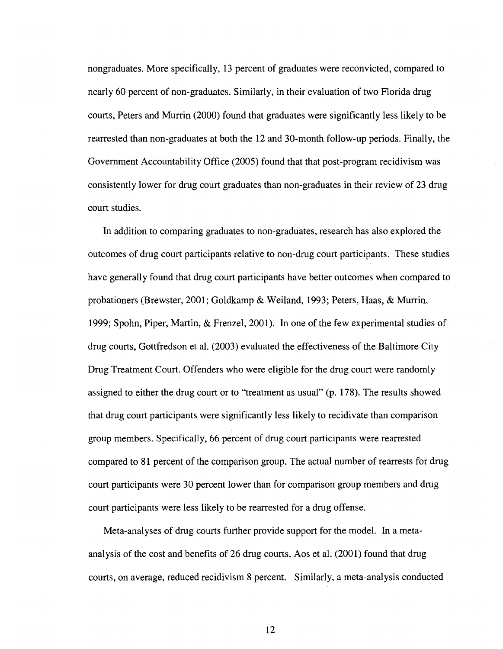nongraduates. More specifically, 13 percent of graduates were reconvicted, compared to nearly 60 percent of non-graduates. Similarly, in their evaluation of two Florida drug courts, Peters and Murrin (2000) found that graduates were significantly less likely to be rearrested than non-graduates at both the 12 and 30-month follow-up periods. Finally, the Government Accountability Office (2005) found that that post-program recidivism was consistently lower for drug court graduates than non-graduates in their review of 23 drug court studies.

In addition to comparing graduates to non-graduates, research has also explored the outcomes of drug court participants relative to non-drug court participants. These studies have generally found that drug court participants have better outcomes when compared to probationers (Brewster, 2001; Goldkamp & Weiland, 1993; Peters, Haas, & Murrin, 1999; Spohn, Piper, Martin, & Frenzel, 2001). In one of the few experimental studies of drug courts, Gottfredson et al. (2003) evaluated the effectiveness of the Baltimore City Drug Treatment Court. Offenders who were eligible for the drug court were randomly assigned to either the drug court or to "treatment as usual" (p. 178). The results showed that drug court participants were significantly less likely to recidivate than comparison group members. Specifically, 66 percent of drug court participants were rearrested compared to 81 percent of the comparison group. The actual number of rearrests for drug court participants were 30 percent lower than for comparison group members and drug court participants were less likely to be rearrested for a drug offense.

Meta-analyses of drug courts further provide support for the model. In a metaanalysis of the cost and benefits of 26 drug courts, Aos et al. (2001) found that drug courts, on average, reduced recidivism 8 percent. Similarly, a meta-analysis conducted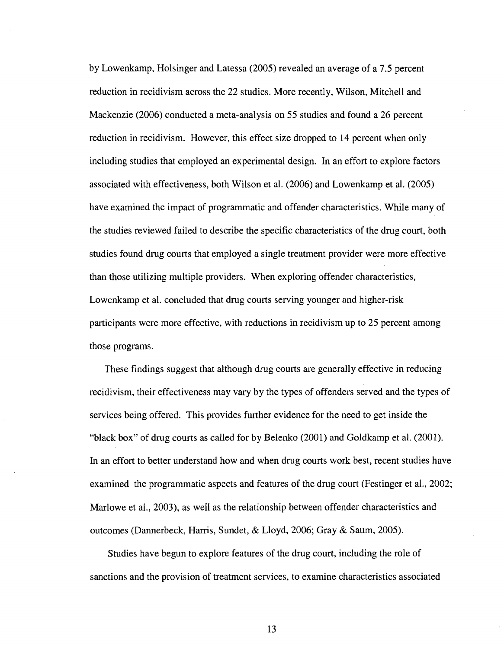by Lowenkamp, Holsinger and Latessa (2005) revealed an average of a 7.5 percent reduction in recidivism across the 22 studies. More recently, Wilson, Mitchell and Mackenzie (2006) conducted a meta-analysis on 55 studies and found a 26 percent reduction in recidivism. However, this effect size dropped to 14 percent when only including studies that employed an experimental design. In an effort to explore factors associated with effectiveness, both Wilson et al. (2006) and Lowenkamp et al. (2005) have examined the impact of programmatic and offender characteristics. While many of the studies reviewed failed to describe the specific characteristics of the drug court, both studies found drug courts that employed a single treatment provider were more effective than those utilizing multiple providers. When exploring offender characteristics, Lowenkamp et al. concluded that drug courts serving younger and higher-risk participants were more effective, with reductions in recidivism up to 25 percent among those programs.

These findings suggest that although drug courts are generally effective in reducing recidivism, their effectiveness may vary by the types of offenders served and the types of services being offered. This provides further evidence for the need to get inside the "black box" of drug courts as called for by Belenko (2001) and Goldkamp et al. (2001). In an effort to better understand how and when drug courts work best, recent studies have examined the programmatic aspects and features of the drug court (Festinger et al., 2002; Marlowe et al., 2003), as well as the relationship between offender characteristics and outcomes (Dannerbeck, Harris, Sundet, & Lloyd, 2006; Gray & Saum, 2005).

Studies have begun to explore features of the drug court, including the role of sanctions and the provision of treatment services, to examine characteristics associated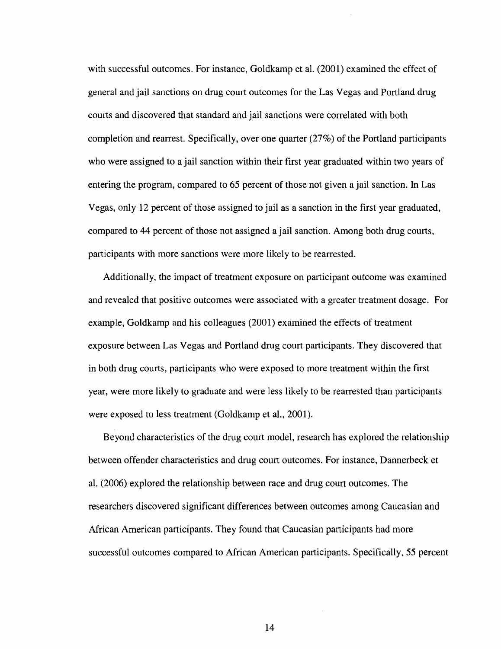with successful outcomes. For instance, Goldkamp et al. (2001) examined the effect of general and jail sanctions on drug court outcomes for the Las Vegas and Portland drug courts and discovered that standard and jail sanctions were correlated with both completion and rearrest. Specifically, over one quarter (27%) of the Portland participants who were assigned to a jail sanction within their first year graduated within two years of entering the program, compared to 65 percent of those not given a jail sanction. In Las Vegas, only 12 percent of those assigned to jail as a sanction in the first year graduated, compared to 44 percent of those not assigned a jail sanction. Among both drug courts, participants with more sanctions were more likely to be rearrested.

Additionally, the impact of treatment exposure on participant outcome was examined and revealed that positive outcomes were associated with a greater treatment dosage. For example, Goldkamp and his colleagues (2001) examined the effects of treatment exposure between Las Vegas and Portland drug court participants. They discovered that in both drug courts, participants who were exposed to more treatment within the first year, were more likely to graduate and were less likely to be rearrested than participants were exposed to less treatment (Goldkamp et al., 2001).

Beyond characteristics of the drug court model, research has explored the relationship between offender characteristics and drug court outcomes. For instance, Dannerbeck et al. (2006) explored the relationship between race and drug court outcomes. The researchers discovered significant differences between outcomes among Caucasian and African American participants. They found that Caucasian participants had more successful outcomes compared to African American participants. Specifically, 55 percent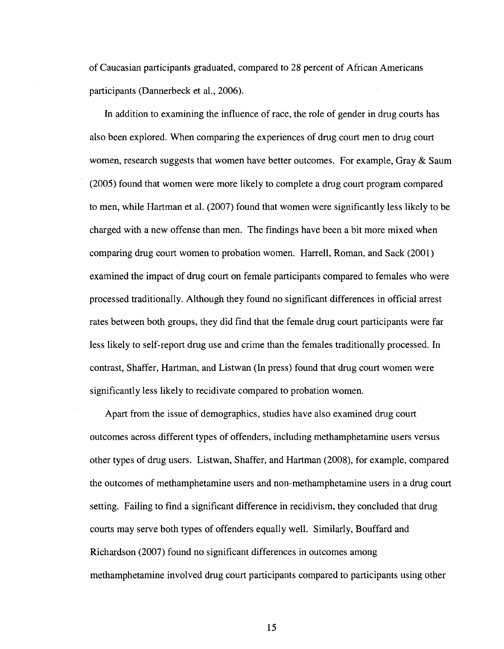of Caucasian participants graduated, compared to 28 percent of African Americans participants (Dannerbeck et al., 2006).

In addition to examining the influence of race, the role of gender in drug courts has also been explored. When comparing the experiences of drug court men to drug court women, research suggests that women have better outcomes. For example, Gray & Saum (2005) found that women were more likely to complete a drug court program compared to men, while Hartman et al. (2007) found that women were significantly less likely to be charged with a new offense than men. The findings have been a bit more mixed when comparing drug court women to probation women. Harrell, Roman, and Sack (2001) examined the impact of drug court on female participants compared to females who were processed traditionally. Although they found no significant differences in official arrest rates between both groups, they did find that the female drug court participants were far less likely to self-report drug use and crime than the females traditionally processed. In contrast, Shaffer, Hartman, and Listwan (In press) found that drug court women were significantly less likely to recidivate compared to probation women.

Apart from the issue of demographics, studies have also examined drug court outcomes across different types of offenders, including methamphetamine users versus other types of drug users. Listwan, Shaffer, and Hartman (2008), for example, compared the outcomes of methamphetamine users and non-methamphetamine users in a drug court setting. Failing to find a significant difference in recidivism, they concluded that drug courts may serve both types of offenders equally well. Similarly, Bouffard and Richardson (2007) found no significant differences in outcomes among methamphetamine involved drug court participants compared to participants using other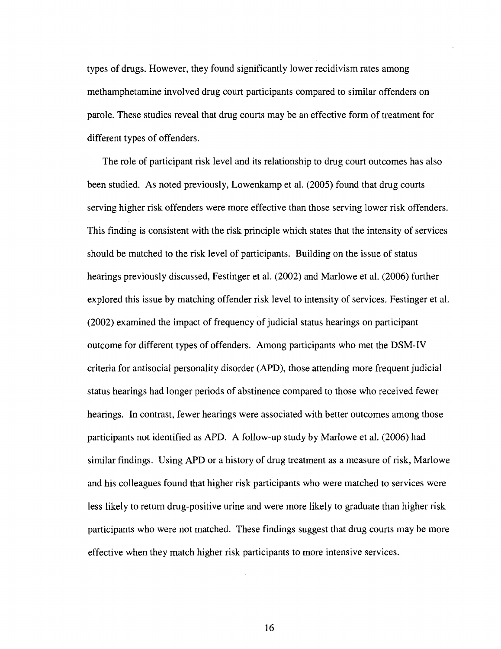types of drugs. However, they found significantly lower recidivism rates among methamphetamine involved drug court participants compared to similar offenders on parole. These studies reveal that drug courts may be an effective form of treatment for different types of offenders.

The role of participant risk level and its relationship to drug court outcomes has also been studied. As noted previously, Lowenkamp et al. (2005) found that drug courts serving higher risk offenders were more effective than those serving lower risk offenders. This finding is consistent with the risk principle which states that the intensity of services should be matched to the risk level of participants. Building on the issue of status hearings previously discussed, Festinger et al. (2002) and Marlowe et al. (2006) further explored this issue by matching offender risk level to intensity of services. Festinger et al. (2002) examined the impact of frequency of judicial status hearings on participant outcome for different types of offenders. Among participants who met the DSM-IV criteria for antisocial personality disorder (APD), those attending more frequent judicial status hearings had longer periods of abstinence compared to those who received fewer hearings. In contrast, fewer hearings were associated with better outcomes among those participants not identified as APD. A follow-up study by Marlowe et al. (2006) had similar findings. Using APD or a history of drug treatment as a measure of risk, Marlowe and his colleagues found that higher risk participants who were matched to services were less likely to return drug-positive urine and were more likely to graduate than higher risk participants who were not matched. These findings suggest that drug courts may be more effective when they match higher risk participants to more intensive services.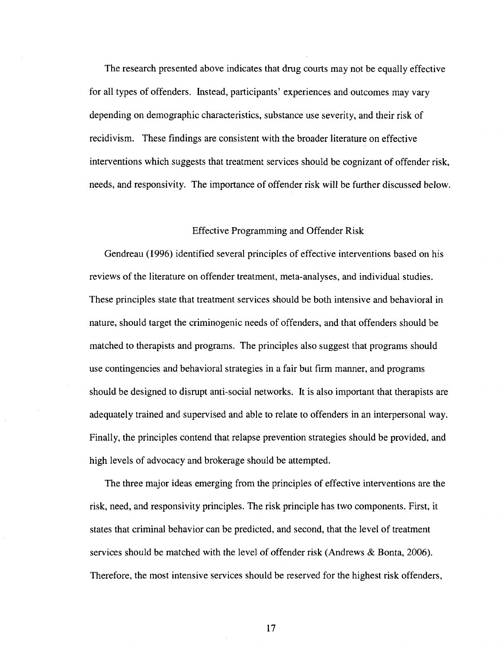The research presented above indicates that drug courts may not be equally effective for all types of offenders. Instead, participants' experiences and outcomes may vary depending on demographic characteristics, substance use severity, and their risk of recidivism. These findings are consistent with the broader literature on effective interventions which suggests that treatment services should be cognizant of offender risk, needs, and responsivity. The importance of offender risk will be further discussed below.

#### Effective Programming and Offender Risk

Gendreau (1996) identified several principles of effective interventions based on his reviews of the literature on offender treatment, meta-analyses, and individual studies. These principles state that treatment services should be both intensive and behavioral in nature, should target the criminogenic needs of offenders, and that offenders should be matched to therapists and programs. The principles also suggest that programs should use contingencies and behavioral strategies in a fair but firm manner, and programs should be designed to disrupt anti-social networks. It is also important that therapists are adequately trained and supervised and able to relate to offenders in an interpersonal way. Finally, the principles contend that relapse prevention strategies should be provided, and high levels of advocacy and brokerage should be attempted.

The three major ideas emerging from the principles of effective interventions are the risk, need, and responsivity principles. The risk principle has two components. First, it states that criminal behavior can be predicted, and second, that the level of treatment services should be matched with the level of offender risk (Andrews & Bonta, 2006). Therefore, the most intensive services should be reserved for the highest risk offenders,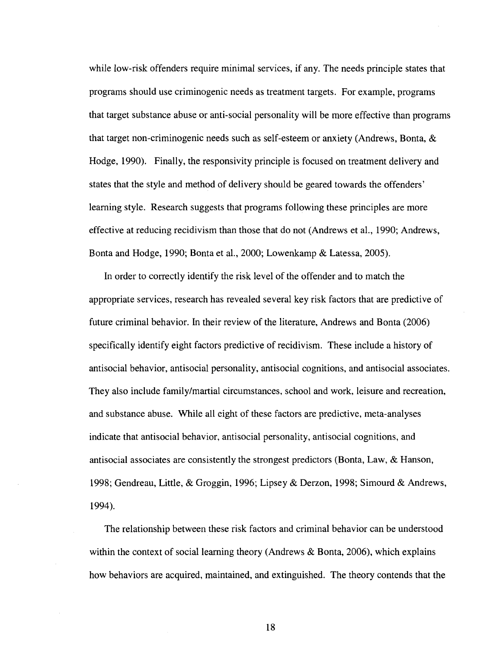while low-risk offenders require minimal services, if any. The needs principle states that programs should use criminogenic needs as treatment targets. For example, programs that target substance abuse or anti-social personality will be more effective than programs that target non-criminogenic needs such as self-esteem or anxiety (Andrews, Bonta, & Hodge, 1990). Finally, the responsivity principle is focused on treatment delivery and states that the style and method of delivery should be geared towards the offenders' learning style. Research suggests that programs following these principles are more effective at reducing recidivism than those that do not (Andrews et al., 1990; Andrews, Bonta and Hodge, 1990; Bonta et al., 2000; Lowenkamp & Latessa, 2005).

In order to correctly identify the risk level of the offender and to match the appropriate services, research has revealed several key risk factors that are predictive of future criminal behavior. In their review of the literature, Andrews and Bonta (2006) specifically identify eight factors predictive of recidivism. These include a history of antisocial behavior, antisocial personality, antisocial cognitions, and antisocial associates. They also include family/martial circumstances, school and work, leisure and recreation, and substance abuse. While all eight of these factors are predictive, meta-analyses indicate that antisocial behavior, antisocial personality, antisocial cognitions, and antisocial associates are consistently the strongest predictors (Bonta, Law, & Hanson, 1998; Gendreau, Little, & Groggin, 1996; Lipsey & Derzon, 1998; Simourd & Andrews, 1994).

The relationship between these risk factors and criminal behavior can be understood within the context of social learning theory (Andrews & Bonta, 2006), which explains how behaviors are acquired, maintained, and extinguished. The theory contends that the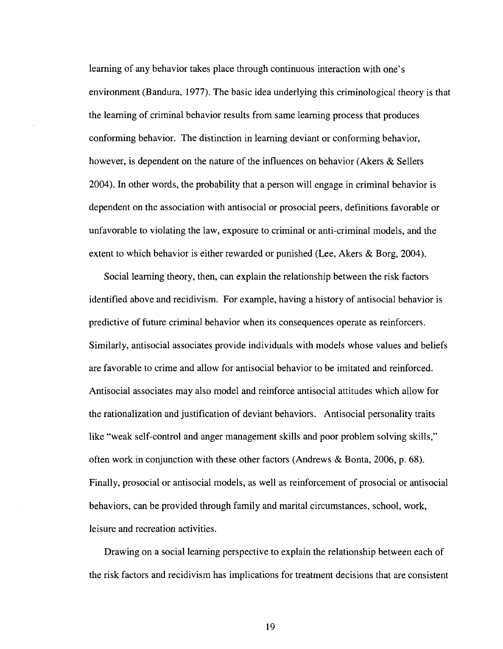learning of any behavior takes place through continuous interaction with one's environment (Bandura, 1977). The basic idea underlying this criminological theory is that the learning of criminal behavior results from same learning process that produces conforming behavior. The distinction in learning deviant or conforming behavior, however, is dependent on the nature of the influences on behavior (Akers & Sellers 2004). In other words, the probability that a person will engage in criminal behavior is dependent on the association with antisocial or prosocial peers, definitions favorable or unfavorable to violating the law, exposure to criminal or anti-criminal models, and the extent to which behavior is either rewarded or punished (Lee, Akers & Borg, 2004).

Social learning theory, then, can explain the relationship between the risk factors identified above and recidivism. For example, having a history of antisocial behavior is predictive of future criminal behavior when its consequences operate as reinforcers. Similarly, antisocial associates provide individuals with models whose values and beliefs are favorable to crime and allow for antisocial behavior to be imitated and reinforced. Antisocial associates may also model and reinforce antisocial attitudes which allow for the rationalization and justification of deviant behaviors. Antisocial personality traits like "weak self-control and anger management skills and poor problem solving skills," often work in conjunction with these other factors (Andrews & Bonta, 2006, p. 68). Finally, prosocial or antisocial models, as well as reinforcement of prosocial or antisocial behaviors, can be provided through family and marital circumstances, school, work, leisure and recreation activities.

Drawing on a social learning perspective to explain the relationship between each of the risk factors and recidivism has implications for treatment decisions that are consistent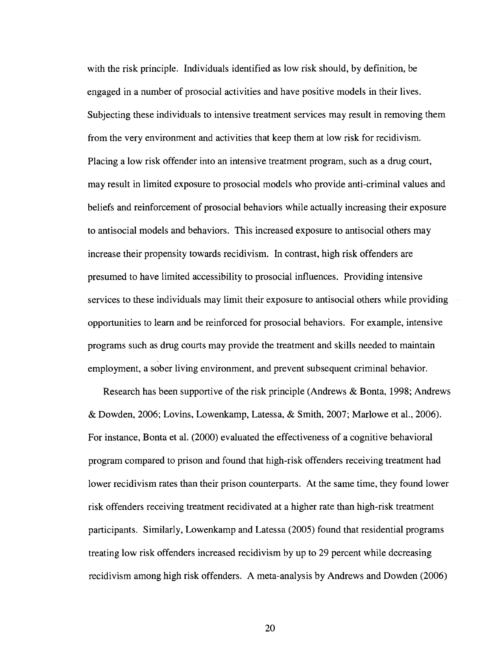with the risk principle. Individuals identified as low risk should, by definition, be engaged in a number of prosocial activities and have positive models in their lives. Subjecting these individuals to intensive treatment services may result in removing them from the very environment and activities that keep them at low risk for recidivism. Placing a low risk offender into an intensive treatment program, such as a drug court, may result in limited exposure to prosocial models who provide anti-criminal values and beliefs and reinforcement of prosocial behaviors while actually increasing their exposure to antisocial models and behaviors. This increased exposure to antisocial others may increase their propensity towards recidivism. In contrast, high risk offenders are presumed to have limited accessibility to prosocial influences. Providing intensive services to these individuals may limit their exposure to antisocial others while providing opportunities to learn and be reinforced for prosocial behaviors. For example, intensive programs such as drug courts may provide the treatment and skills needed to maintain employment, a sober living environment, and prevent subsequent criminal behavior.

Research has been supportive of the risk principle (Andrews & Bonta, 1998; Andrews & Dowden, 2006; Lovins, Lowenkamp, Latessa, & Smith, 2007; Marlowe et al., 2006). For instance, Bonta et al. (2000) evaluated the effectiveness of a cognitive behavioral program compared to prison and found that high-risk offenders receiving treatment had lower recidivism rates than their prison counterparts. At the same time, they found lower risk offenders receiving treatment recidivated at a higher rate than high-risk treatment participants. Similarly, Lowenkamp and Latessa (2005) found that residential programs treating low risk offenders increased recidivism by up to 29 percent while decreasing recidivism among high risk offenders. A meta-analysis by Andrews and Dowden (2006)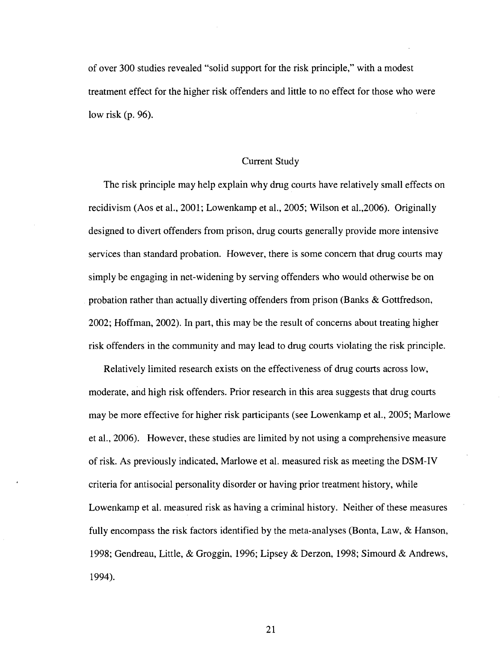of over 300 studies revealed "solid support for the risk principle," with a modest treatment effect for the higher risk offenders and little to no effect for those who were low risk (p. 96).

#### Current Study

The risk principle may help explain why drug courts have relatively small effects on recidivism (Aos et al., 2001; Lowenkamp et al., 2005; Wilson et al.,2006). Originally designed to divert offenders from prison, drug courts generally provide more intensive services than standard probation. However, there is some concern that drug courts may simply be engaging in net-widening by serving offenders who would otherwise be on probation rather than actually diverting offenders from prison (Banks & Gottfredson, 2002; Hoffman, 2002). In part, this may be the result of concerns about treating higher risk offenders in the community and may lead to drug courts violating the risk principle.

Relatively limited research exists on the effectiveness of drug courts across low, moderate, and high risk offenders. Prior research in this area suggests that drug courts may be more effective for higher risk participants (see Lowenkamp et al., 2005; Marlowe et al., 2006). However, these studies are limited by not using a comprehensive measure of risk. As previously indicated, Marlowe et al. measured risk as meeting the DSM-IV criteria for antisocial personality disorder or having prior treatment history, while Lowenkamp et al. measured risk as having a criminal history. Neither of these measures fully encompass the risk factors identified by the meta-analyses (Bonta, Law, & Hanson, 1998; Gendreau, Little, & Groggin, 1996; Lipsey & Derzon, 1998; Simourd & Andrews, 1994).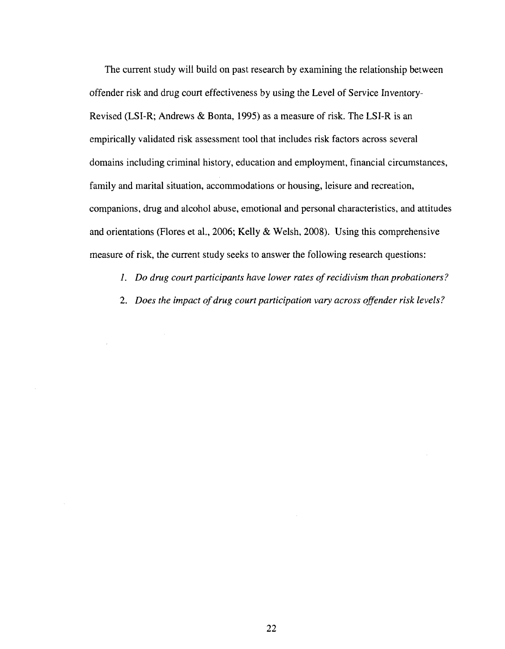The current study will build on past research by examining the relationship between offender risk and drug court effectiveness by using the Level of Service Inventory-Revised (LSI-R; Andrews & Bonta, 1995) as a measure of risk. The LSI-R is an empirically validated risk assessment tool that includes risk factors across several domains including criminal history, education and employment, financial circumstances, family and marital situation, accommodations or housing, leisure and recreation, companions, drug and alcohol abuse, emotional and personal characteristics, and attitudes and orientations (Flores et al., 2006; Kelly & Welsh, 2008). Using this comprehensive measure of risk, the current study seeks to answer the following research questions:

- /. *Do drug court participants have lower rates of recidivism than probationers?*
- *2. Does the impact of drug court participation vary across offender risk levels?*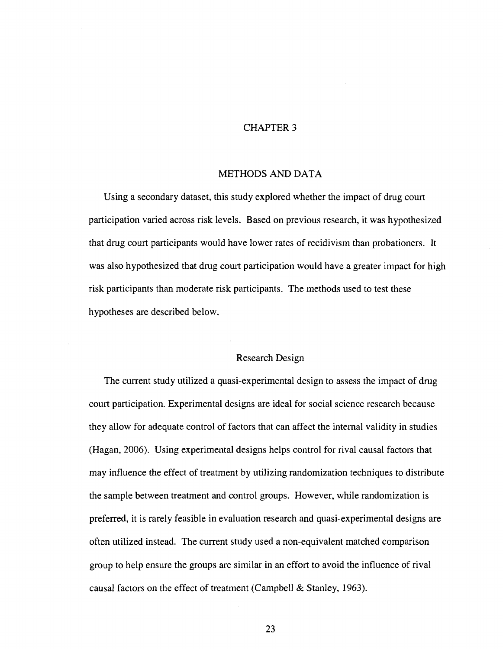#### CHAPTER 3

#### METHODS AND DATA

Using a secondary dataset, this study explored whether the impact of drug court participation varied across risk levels. Based on previous research, it was hypothesized that drug court participants would have lower rates of recidivism than probationers. It was also hypothesized that drug court participation would have a greater impact for high risk participants than moderate risk participants. The methods used to test these hypotheses are described below.

#### Research Design

The current study utilized a quasi-experimental design to assess the impact of drug court participation. Experimental designs are ideal for social science research because they allow for adequate control of factors that can affect the internal validity in studies (Hagan, 2006). Using experimental designs helps control for rival causal factors that may influence the effect of treatment by utilizing randomization techniques to distribute the sample between treatment and control groups. However, while randomization is preferred, it is rarely feasible in evaluation research and quasi-experimental designs are often utilized instead. The current study used a non-equivalent matched comparison group to help ensure the groups are similar in an effort to avoid the influence of rival causal factors on the effect of treatment (Campbell & Stanley, 1963).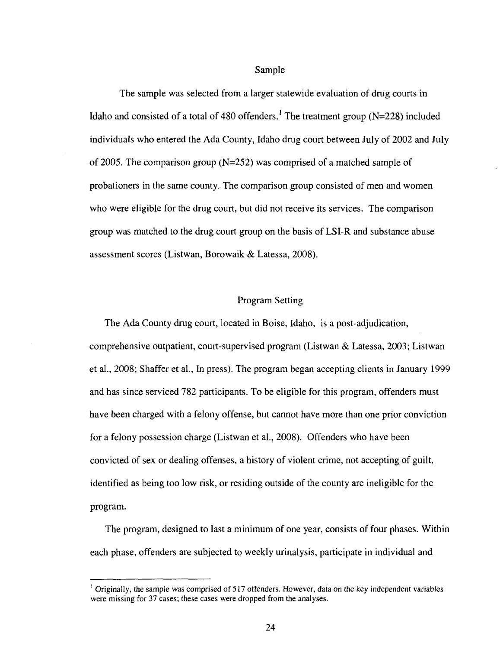Sample

The sample was selected from a larger statewide evaluation of drug courts in Idaho and consisted of a total of 480 offenders.<sup>1</sup> The treatment group ( $N=228$ ) included individuals who entered the Ada County, Idaho drug court between July of 2002 and July of 2005. The comparison group  $(N=252)$  was comprised of a matched sample of probationers in the same county. The comparison group consisted of men and women who were eligible for the drug court, but did not receive its services. The comparison group was matched to the drug court group on the basis of LSI-R and substance abuse assessment scores (Listwan, Borowaik & Latessa, 2008).

#### Program Setting

The Ada County drug court, located in Boise, Idaho, is a post-adjudication, comprehensive outpatient, court-supervised program (Listwan & Latessa, 2003; Listwan et al., 2008; Shaffer et al., In press). The program began accepting clients in January 1999 and has since serviced 782 participants. To be eligible for this program, offenders must have been charged with a felony offense, but cannot have more than one prior conviction for a felony possession charge (Listwan et al., 2008). Offenders who have been convicted of sex or dealing offenses, a history of violent crime, not accepting of guilt, identified as being too low risk, or residing outside of the county are ineligible for the program.

The program, designed to last a minimum of one year, consists of four phases. Within each phase, offenders are subjected to weekly urinalysis, participate in individual and

<sup>&#</sup>x27; Originally, the sample was comprised of 517 offenders. However, data on the key independent variables were missing for 37 cases; these cases were dropped from the analyses.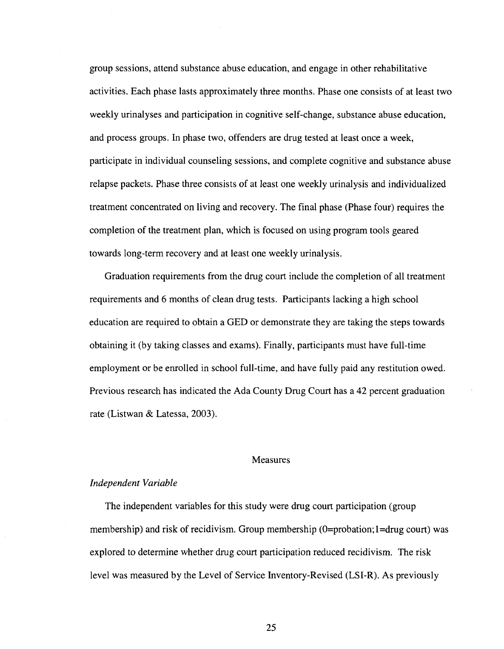group sessions, attend substance abuse education, and engage in other rehabilitative activities. Each phase lasts approximately three months. Phase one consists of at least two weekly urinalyses and participation in cognitive self-change, substance abuse education, and process groups. In phase two, offenders are drug tested at least once a week, participate in individual counseling sessions, and complete cognitive and substance abuse relapse packets. Phase three consists of at least one weekly urinalysis and individualized treatment concentrated on living and recovery. The final phase (Phase four) requires the completion of the treatment plan, which is focused on using program tools geared towards long-term recovery and at least one weekly urinalysis.

Graduation requirements from the drug court include the completion of all treatment requirements and 6 months of clean drug tests. Participants lacking a high school education are required to obtain a GED or demonstrate they are taking the steps towards obtaining it (by taking classes and exams). Finally, participants must have full-time employment or be enrolled in school full-time, and have fully paid any restitution owed. Previous research has indicated the Ada County Drug Court has a 42 percent graduation rate (Listwan & Latessa, 2003).

#### Measures

#### *Independent Variable*

The independent variables for this study were drug court participation (group membership) and risk of recidivism. Group membership  $(0=$ probation; $1=$ drug court) was explored to determine whether drug court participation reduced recidivism. The risk level was measured by the Level of Service Inventory-Revised (LSI-R). As previously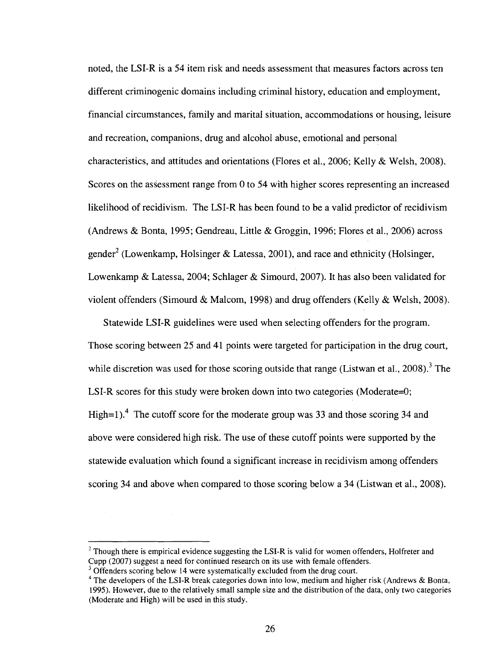noted, the LSI-R is a 54 item risk and needs assessment that measures factors across ten different criminogenic domains including criminal history, education and employment, financial circumstances, family and marital situation, accommodations or housing, leisure and recreation, companions, drug and alcohol abuse, emotional and personal characteristics, and attitudes and orientations (Flores et al., 2006; Kelly & Welsh, 2008). Scores on the assessment range from 0 to 54 with higher scores representing an increased likelihood of recidivism. The LSI-R has been found to be a valid predictor of recidivism (Andrews & Bonta, 1995; Gendreau, Little & Groggin, 1996; Flores et al., 2006) across gender<sup>2</sup> (Lowenkamp, Holsinger & Latessa, 2001), and race and ethnicity (Holsinger, Lowenkamp & Latessa, 2004; Schlager & Simourd, 2007). It has also been validated for violent offenders (Simourd & Malcom, 1998) and drug offenders (Kelly & Welsh, 2008).

Statewide LSI-R guidelines were used when selecting offenders for the program. Those scoring between 25 and 41 points were targeted for participation in the drug court, while discretion was used for those scoring outside that range (Listwan et al., 2008).<sup>3</sup> The LSI-R scores for this study were broken down into two categories (Moderate=0; High=1).<sup>4</sup> The cutoff score for the moderate group was 33 and those scoring 34 and above were considered high risk. The use of these cutoff points were supported by the statewide evaluation which found a significant increase in recidivism among offenders scoring 34 and above when compared to those scoring below a 34 (Listwan et al., 2008).

 $\overline{\phantom{a}}$ 

 $2$  Though there is empirical evidence suggesting the LSI-R is valid for women offenders, Holfreter and Cupp (2007) suggest a need for continued research on its use with female offenders.

 $3$  Offenders scoring below 14 were systematically excluded from the drug court.

<sup>&</sup>lt;sup>4</sup> The developers of the LSI-R break categories down into low, medium and higher risk (Andrews & Bonta, 1995). However, due to the relatively small sample size and the distribution of the data, only two categories (Moderate and High) will be used in this study.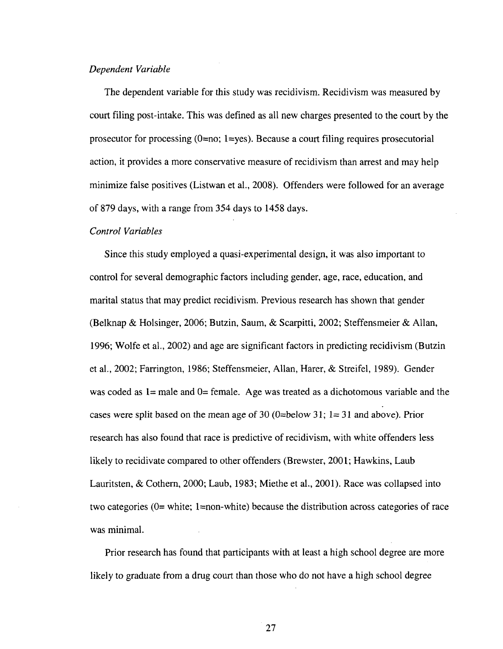#### *Dependent Variable*

The dependent variable for this study was recidivism. Recidivism was measured by court filing post-intake. This was defined as all new charges presented to the court by the prosecutor for processing  $(0=no; 1=yes)$ . Because a court filing requires prosecutorial action, it provides a more conservative measure of recidivism than arrest and may help minimize false positives (Listwan et al., 2008). Offenders were followed for an average of 879 days, with a range from 354 days to 1458 days.

#### *Control Variables*

Since this study employed a quasi-experimental design, it was also important to control for several demographic factors including gender, age, race, education, and marital status that may predict recidivism. Previous research has shown that gender (Belknap & Holsinger, 2006; Butzin, Saum, & Scarpitti, 2002; Steffensmeier & Allan, 1996; Wolfe et al., 2002) and age are significant factors in predicting recidivism (Butzin et al., 2002; Farrington, 1986; Steffensmeier, Allan, Harer, & Streifel, 1989). Gender was coded as  $1=$  male and  $0=$  female. Age was treated as a dichotomous variable and the cases were split based on the mean age of 30 (0=below 31;  $1=31$  and above). Prior research has also found that race is predictive of recidivism, with white offenders less likely to recidivate compared to other offenders (Brewster, 2001; Hawkins, Laub Lauritsten, & Cothern, 2000; Laub, 1983; Miethe et al., 2001). Race was collapsed into two categories (0= white; l=non-white) because the distribution across categories of race was minimal.

Prior research has found that participants with at least a high school degree are more likely to graduate from a drug court than those who do not have a high school degree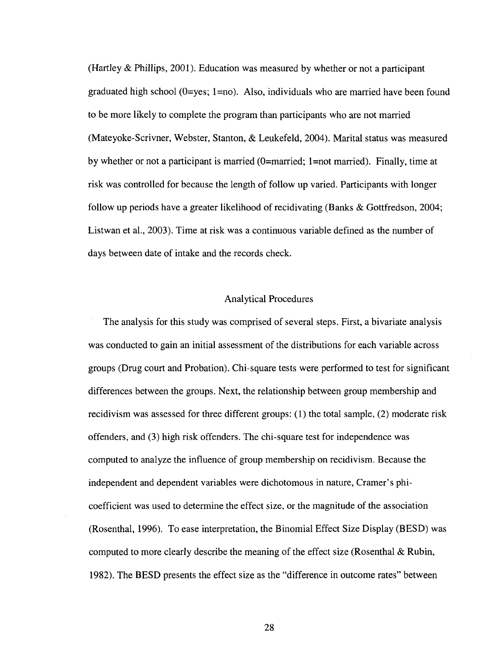(Hartley & Phillips, 2001). Education was measured by whether or not a participant graduated high school ( $0 = yes$ ; 1=no). Also, individuals who are married have been found to be more likely to complete the program than participants who are not married (Mateyoke-Scrivner, Webster, Stanton, & Leukefeld, 2004). Marital status was measured by whether or not a participant is married (0=married; l=not married). Finally, time at risk was controlled for because the length of follow up varied. Participants with longer follow up periods have a greater likelihood of recidivating (Banks & Gottfredson, 2004; Listwan et al., 2003). Time at risk was a continuous variable defined as the number of days between date of intake and the records check.

#### Analytical Procedures

The analysis for this study was comprised of several steps. First, a bivariate analysis was conducted to gain an initial assessment of the distributions for each variable across groups (Drug court and Probation). Chi-square tests were performed to test for significant differences between the groups. Next, the relationship between group membership and recidivism was assessed for three different groups: (1) the total sample, (2) moderate risk offenders, and (3) high risk offenders. The chi-square test for independence was computed to analyze the influence of group membership on recidivism. Because the independent and dependent variables were dichotomous in nature, Cramer's phicoefficient was used to determine the effect size, or the magnitude of the association (Rosenthal, 1996). To ease interpretation, the Binomial Effect Size Display (BESD) was computed to more clearly describe the meaning of the effect size (Rosenthal & Rubin, 1982). The BESD presents the effect size as the "difference in outcome rates" between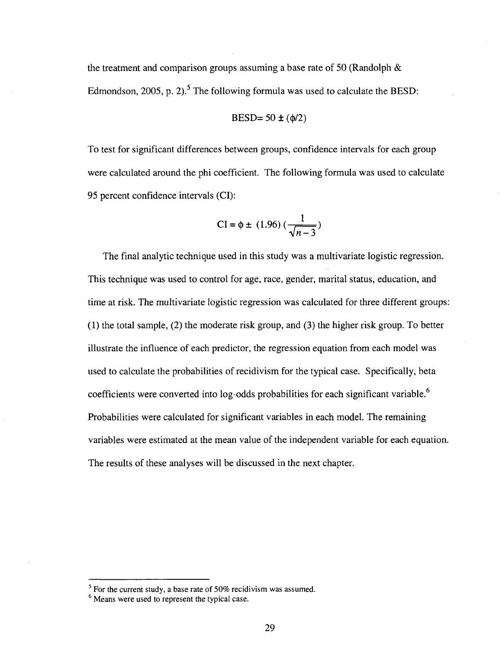the treatment and comparison groups assuming a base rate of 50 (Randolph  $\&$ Edmondson, 2005, p. 2).<sup>5</sup> The following formula was used to calculate the BESD:

$$
BESD = 50 \pm (\phi/2)
$$

To test for significant differences between groups, confidence intervals for each group were calculated around the phi coefficient. The following formula was used to calculate 95 percent confidence intervals (CI):

CI = 
$$
\phi \pm (1.96) (\frac{1}{\sqrt{n-3}})
$$

The final analytic technique used in this study was a multivariate logistic regression. This technique was used to control for age, race, gender, marital status, education, and time at risk. The multivariate logistic regression was calculated for three different groups: (1) the total sample, (2) the moderate risk group, and (3) the higher risk group. To better illustrate the influence of each predictor, the regression equation from each model was used to calculate the probabilities of recidivism for the typical case. Specifically, beta coefficients were converted into log-odds probabilities for each significant variable.<sup>6</sup> Probabilities were calculated for significant variables in each model. The remaining variables were estimated at the mean value of the independent variable for each equation. The results of these analyses will be discussed in the next chapter.

 $<sup>5</sup>$  For the current study, a base rate of 50% recidivism was assumed.</sup>

Means were used to represent the typical case.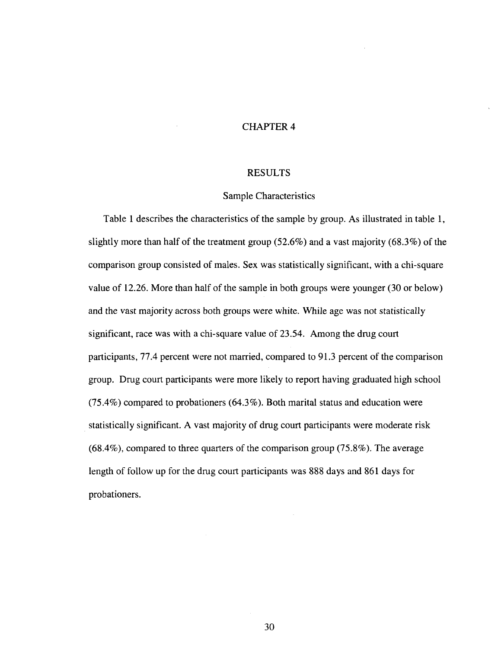#### CHAPTER 4

#### RESULTS

#### Sample Characteristics

Table 1 describes the characteristics of the sample by group. As illustrated in table 1, slightly more than half of the treatment group (52.6%) and a vast majority (68.3%) of the comparison group consisted of males. Sex was statistically significant, with a chi-square value of 12.26. More than half of the sample in both groups were younger (30 or below) and the vast majority across both groups were white. While age was not statistically significant, race was with a chi-square value of 23.54. Among the drug court participants, 77.4 percent were not married, compared to 91.3 percent of the comparison group. Drug court participants were more likely to report having graduated high school (75.4%) compared to probationers (64.3%). Both marital status and education were statistically significant. A vast majority of drug court participants were moderate risk (68.4%), compared to three quarters of the comparison group (75.8%). The average length of follow up for the drug court participants was 888 days and 861 days for probationers.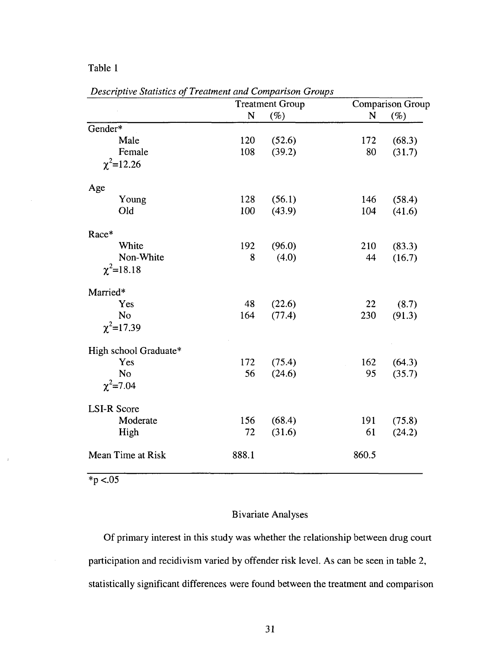#### Table 1

|                       |       | <b>Treatment Group</b> |       | <b>Comparison Group</b> |
|-----------------------|-------|------------------------|-------|-------------------------|
|                       | N     | (%)                    | N     | $(\%)$                  |
| Gender*               |       |                        |       |                         |
| Male                  | 120   | (52.6)                 | 172   | (68.3)                  |
| Female                | 108   | (39.2)                 | 80    | (31.7)                  |
| $\chi^2$ =12.26       |       |                        |       |                         |
| Age                   |       |                        |       |                         |
| Young                 | 128   | (56.1)                 | 146   | (58.4)                  |
| Old                   | 100   | (43.9)                 | 104   | (41.6)                  |
| Race*                 |       |                        |       |                         |
| White                 | 192   | (96.0)                 | 210   | (83.3)                  |
| Non-White             | 8     | (4.0)                  | 44    | (16.7)                  |
| $\chi^2$ =18.18       |       |                        |       |                         |
| Married*              |       |                        |       |                         |
| Yes                   | 48    | (22.6)                 | 22    | (8.7)                   |
| No                    | 164   | (77.4)                 | 230   | (91.3)                  |
| $\chi^2$ =17.39       |       |                        |       |                         |
| High school Graduate* |       |                        |       |                         |
| Yes                   | 172   | (75.4)                 | 162   | (64.3)                  |
| No                    | 56    | (24.6)                 | 95    | (35.7)                  |
| $\chi^2$ =7.04        |       |                        |       |                         |
| <b>LSI-R Score</b>    |       |                        |       |                         |
| Moderate              | 156   | (68.4)                 | 191   | (75.8)                  |
| High                  | 72    | (31.6)                 | 61    | (24.2)                  |
| Mean Time at Risk     | 888.1 |                        | 860.5 |                         |

*Descriptive Statistics of Treatment and Comparison Groups* 

 $\frac{}{\cdot \, \cdot \, 05}$ 

 $\pm$ 

#### Bivariate Analyses

Of primary interest in this study was whether the relationship between drug court participation and recidivism varied by offender risk level. As can be seen in table 2, statistically significant differences were found between the treatment and comparison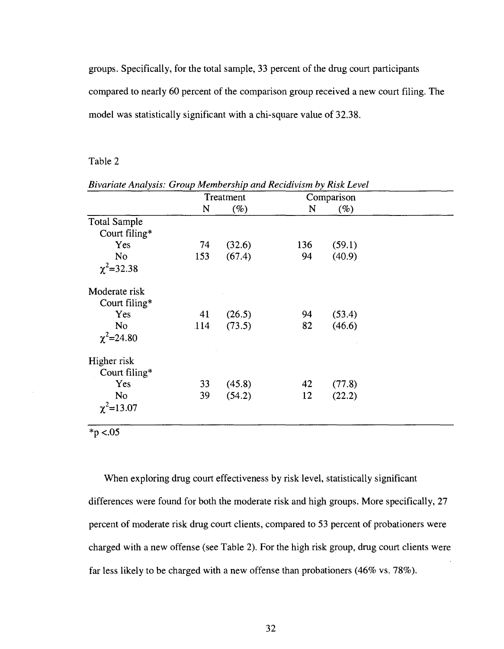groups. Specifically, for the total sample, 33 percent of the drug court participants compared to nearly 60 percent of the comparison group received a new court filing. The model was statistically significant with a chi-square value of 32.38.

#### Table 2

|                     |     | Treatment |     | Comparison |  |
|---------------------|-----|-----------|-----|------------|--|
|                     | N   | $(\%)$    | N   | $(\%)$     |  |
| <b>Total Sample</b> |     |           |     |            |  |
| Court filing*       |     |           |     |            |  |
| Yes                 | 74  | (32.6)    | 136 | (59.1)     |  |
| N <sub>o</sub>      | 153 | (67.4)    | 94  | (40.9)     |  |
| $\chi^2$ =32.38     |     |           |     |            |  |
| Moderate risk       |     |           |     |            |  |
| Court filing*       |     |           |     |            |  |
| Yes                 | 41  | (26.5)    | 94  | (53.4)     |  |
| N <sub>0</sub>      | 114 | (73.5)    | 82  | (46.6)     |  |
| $\chi^2$ =24.80     |     |           |     |            |  |
| Higher risk         |     |           |     |            |  |
| Court filing*       |     |           |     |            |  |
| Yes                 | 33  | (45.8)    | 42  | (77.8)     |  |
| <b>No</b>           | 39  | (54.2)    | 12  | (22.2)     |  |
| $\gamma^2$ =13.07   |     |           |     |            |  |

*Bivariate Analysis: Group Membership and Recidivism by Risk Level* 

*\*p* <.05

When exploring drug court effectiveness by risk level, statistically significant differences were found for both the moderate risk and high groups. More specifically, 27 percent of moderate risk drug court clients, compared to 53 percent of probationers were charged with a new offense (see Table 2). For the high risk group, drug court clients were far less likely to be charged with a new offense than probationers (46% vs. 78%).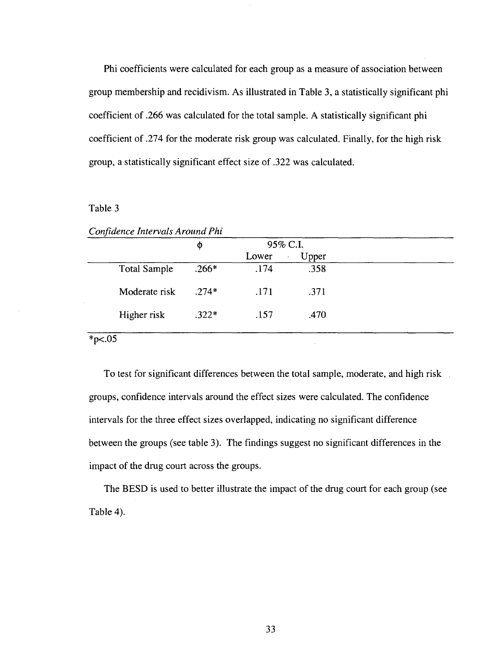Phi coefficients were calculated for each group as a measure of association between group membership and recidivism. As illustrated in Table 3, a statistically significant phi coefficient of .266 was calculated for the total sample. A statistically significant phi coefficient of .274 for the moderate risk group was calculated. Finally, for the high risk group, a statistically significant effect size of .322 was calculated.

#### Table 3

|                     | Φ       |       | 95% C.I.         |  |
|---------------------|---------|-------|------------------|--|
|                     |         | Lower | Upper<br>$\cdot$ |  |
| <b>Total Sample</b> | $.266*$ | .174  | .358             |  |
| Moderate risk       | $.274*$ | .171  | .371             |  |
| Higher risk         | $.322*$ | .157  | .470             |  |

*Confidence Intervals Around Phi* 

 $*_{p<.05}$ 

To test for significant differences between the total sample, moderate, and high risk groups, confidence intervals around the effect sizes were calculated. The confidence intervals for the three effect sizes overlapped, indicating no significant difference between the groups (see table 3). The findings suggest no significant differences in the impact of the drug court across the groups.

The BESD is used to better illustrate the impact of the drug court for each group (see Table 4).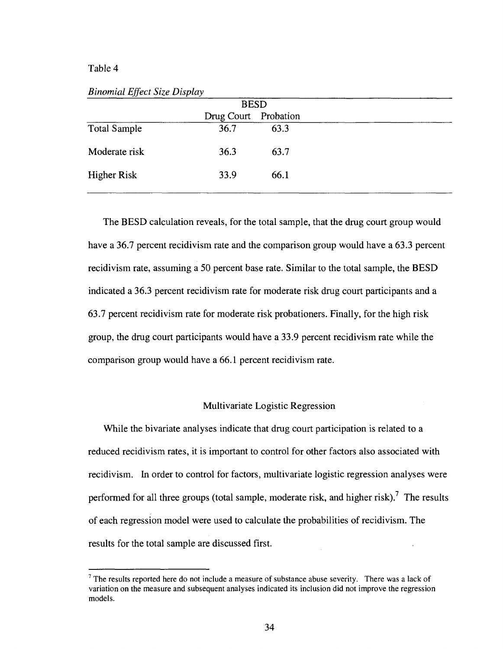#### Table 4

*Binomial Effect Size Display* 

|                     | Drug Court Probation |      |  |
|---------------------|----------------------|------|--|
| <b>Total Sample</b> | 36.7                 | 63.3 |  |
| Moderate risk       | 36.3                 | 63.7 |  |
| <b>Higher Risk</b>  | 33.9                 | 66.1 |  |
|                     |                      |      |  |

The BESD calculation reveals, for the total sample, that the drug court group would have a 36.7 percent recidivism rate and the comparison group would have a 63.3 percent recidivism rate, assuming a 50 percent base rate. Similar to the total sample, the BESD indicated a 36.3 percent recidivism rate for moderate risk drug court participants and a 63.7 percent recidivism rate for moderate risk probationers. Finally, for the high risk group, the drug court participants would have a 33.9 percent recidivism rate while the comparison group would have a 66.1 percent recidivism rate.

#### Multivariate Logistic Regression

While the bivariate analyses indicate that drug court participation is related to a reduced recidivism rates, it is important to control for other factors also associated with recidivism. In order to control for factors, multivariate logistic regression analyses were performed for all three groups (total sample, moderate risk, and higher risk).<sup>7</sup> The results of each regression model were used to calculate the probabilities of recidivism. The results for the total sample are discussed first.

The results reported here do not include a measure of substance abuse severity. There was a lack of variation on the measure and subsequent analyses indicated its inclusion did not improve the regression models.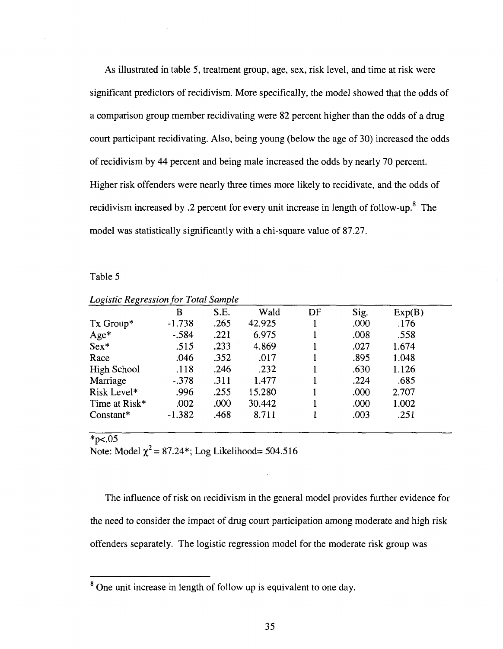As illustrated in table 5, treatment group, age, sex, risk level, and time at risk were significant predictors of recidivism. More specifically, the model showed that the odds of a comparison group member recidivating were 82 percent higher than the odds of a drug court participant recidivating. Also, being young (below the age of 30) increased the odds of recidivism by 44 percent and being male increased the odds by nearly 70 percent. Higher risk offenders were nearly three times more likely to recidivate, and the odds of recidivism increased by .2 percent for every unit increase in length of follow-up.<sup>8</sup> The model was statistically significantly with a chi-square value of 87.27.

#### Table 5

| _ v<br>ັ      |          |      |        |    |      |        |  |
|---------------|----------|------|--------|----|------|--------|--|
|               | B        | S.E. | Wald   | DF | Sig. | Exp(B) |  |
| Tx Group*     | $-1.738$ | .265 | 42.925 |    | .000 | .176   |  |
| Age*          | $-.584$  | .221 | 6.975  |    | .008 | .558   |  |
| $Sex*$        | .515     | .233 | 4.869  |    | .027 | 1.674  |  |
| Race          | .046     | .352 | .017   |    | .895 | 1.048  |  |
| High School   | .118     | .246 | .232   |    | .630 | 1.126  |  |
| Marriage      | $-.378$  | .311 | 1.477  |    | .224 | .685   |  |
| Risk Level*   | .996     | .255 | 15.280 |    | .000 | 2.707  |  |
| Time at Risk* | .002     | .000 | 30.442 |    | .000 | 1.002  |  |
| $Constant*$   | $-1.382$ | .468 | 8.711  |    | .003 | .251   |  |
|               |          |      |        |    |      |        |  |

*Logistic Regression for Total Sample* 

 $*_{p<.05}$ 

Note: Model  $\chi^2$  = 87.24\*; Log Likelihood= 504.516

The influence of risk on recidivism in the general model provides further evidence for the need to consider the impact of drug court participation among moderate and high risk offenders separately. The logistic regression model for the moderate risk group was

<sup>&</sup>lt;sup>8</sup> One unit increase in length of follow up is equivalent to one day.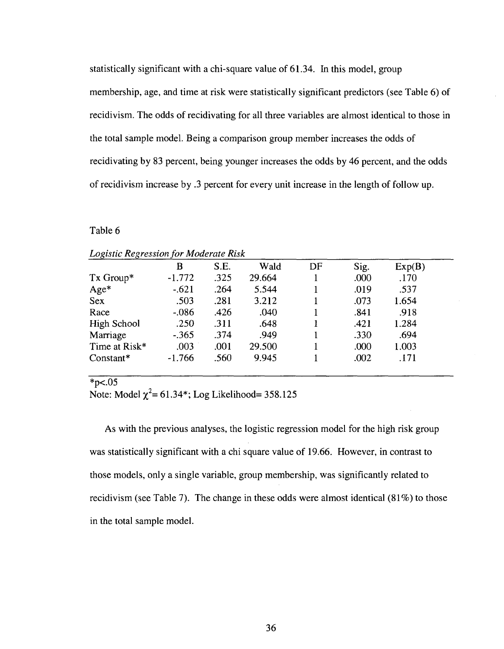statistically significant with a chi-square value of 61.34. In this model, group membership, age, and time at risk were statistically significant predictors (see Table 6) of recidivism. The odds of recidivating for all three variables are almost identical to those in the total sample model. Being a comparison group member increases the odds of recidivating by 83 percent, being younger increases the odds by 46 percent, and the odds of recidivism increase by .3 percent for every unit increase in the length of follow up.

#### Table 6

|                    | B        | S.E. | Wald   | DF | Sig. | Exp(B) |
|--------------------|----------|------|--------|----|------|--------|
| Tx Group*          | $-1.772$ | .325 | 29.664 |    | .000 | .170   |
| $Age*$             | $-.621$  | .264 | 5.544  |    | .019 | .537   |
| <b>Sex</b>         | .503     | .281 | 3.212  |    | .073 | 1.654  |
| Race               | $-.086$  | .426 | .040   |    | .841 | .918   |
| <b>High School</b> | .250     | .311 | .648   |    | .421 | 1.284  |
| Marriage           | $-.365$  | .374 | .949   |    | .330 | .694   |
| Time at Risk*      | .003     | .001 | 29.500 |    | .000 | 1.003  |
| $Constant*$        | $-1.766$ | .560 | 9.945  |    | .002 | .171   |

| <b>Logistic Regression for Moderate Risk</b> |  |  |  |
|----------------------------------------------|--|--|--|
|----------------------------------------------|--|--|--|

#### $*_{p<.05}$

Note: Model  $\chi^2$  = 61.34\*; Log Likelihood= 358.125

As with the previous analyses, the logistic regression model for the high risk group was statistically significant with a chi square value of 19.66. However, in contrast to those models, only a single variable, group membership, was significantly related to recidivism (see Table 7). The change in these odds were almost identical (81%) to those in the total sample model.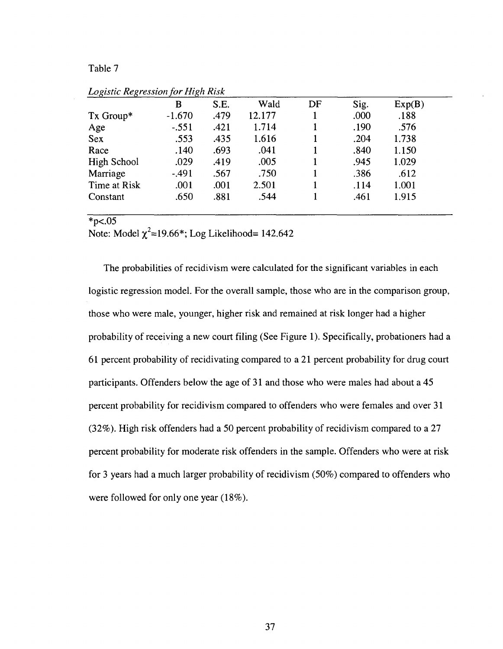#### Table 7

|                    | B        | S.E. | Wald   | DF | Sig. | Exp(B) |
|--------------------|----------|------|--------|----|------|--------|
| Tx Group*          | $-1.670$ | .479 | 12.177 |    | .000 | .188   |
| Age                | $-.551$  | .421 | 1.714  |    | .190 | .576   |
| <b>Sex</b>         | .553     | .435 | 1.616  |    | .204 | 1.738  |
| Race               | .140     | .693 | .041   |    | .840 | 1.150  |
| <b>High School</b> | .029     | .419 | .005   |    | .945 | 1.029  |
| Marriage           | $-.491$  | .567 | .750   |    | .386 | .612   |
| Time at Risk       | .001     | .001 | 2.501  |    | .114 | 1.001  |
| Constant           | .650     | .881 | .544   |    | .461 | 1.915  |

*Logistic Regression for High Risk* 

#### $*p<.05$

Note: Model  $\chi^2$ =19.66\*; Log Likelihood= 142.642

The probabilities of recidivism were calculated for the significant variables in each logistic regression model. For the overall sample, those who are in the comparison group, those who were male, younger, higher risk and remained at risk longer had a higher probability of receiving a new court filing (See Figure 1). Specifically, probationers had a 61 percent probability of recidivating compared to a 21 percent probability for drug court participants. Offenders below the age of 31 and those who were males had about a 45 percent probability for recidivism compared to offenders who were females and over 31 (32%). High risk offenders had a 50 percent probability of recidivism compared to a 27 percent probability for moderate risk offenders in the sample. Offenders who were at risk for 3 years had a much larger probability of recidivism (50%) compared to offenders who were followed for only one year (18%).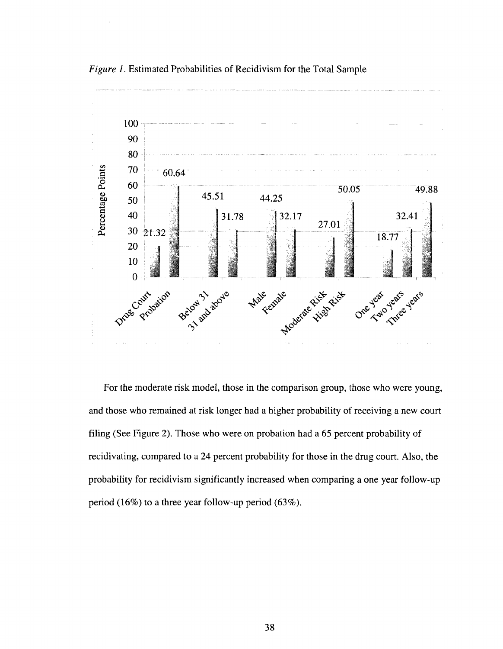

*Figure 1.* Estimated Probabilities of Recidivism for the Total Sample

For the moderate risk model, those in the comparison group, those who were young, and those who remained at risk longer had a higher probability of receiving a new court filing (See Figure 2). Those who were on probation had a 65 percent probability of recidivating, compared to a 24 percent probability for those in the drug court. Also, the probability for recidivism significantly increased when comparing a one year follow-up period (16%) to a three year follow-up period (63%).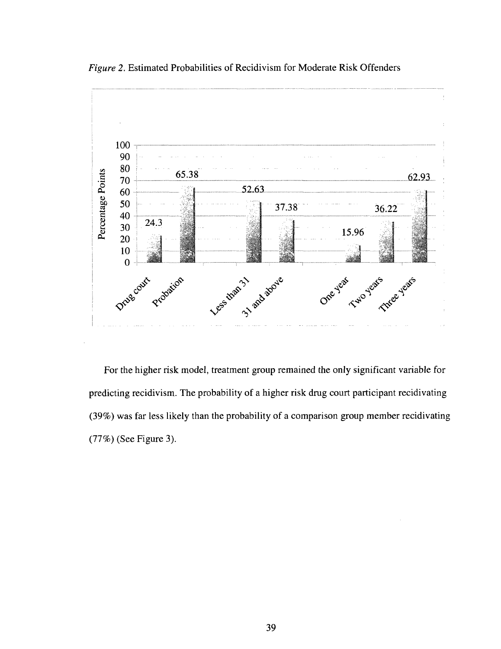

*Figure 2.* Estimated Probabilities of Recidivism for Moderate Risk Offenders

For the higher risk model, treatment group remained the only significant variable for predicting recidivism. The probability of a higher risk drug court participant recidivating (39%) was far less likely than the probability of a comparison group member recidivating (77%) (See Figure 3).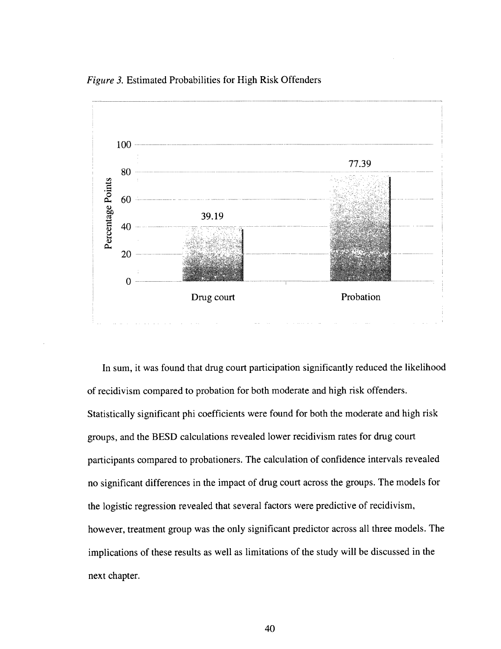*Figure 3.* Estimated Probabilities for High Risk Offenders



In sum, it was found that drug court participation significantly reduced the likelihood of recidivism compared to probation for both moderate and high risk offenders. Statistically significant phi coefficients were found for both the moderate and high risk groups, and the BESD calculations revealed lower recidivism rates for drug court participants compared to probationers. The calculation of confidence intervals revealed no significant differences in the impact of drug court across the groups. The models for the logistic regression revealed that several factors were predictive of recidivism, however, treatment group was the only significant predictor across all three models. The implications of these results as well as limitations of the study will be discussed in the next chapter.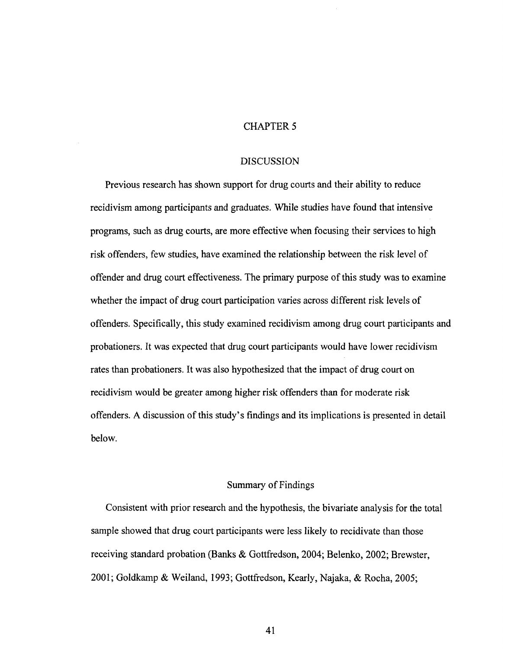#### CHAPTER 5

#### DISCUSSION

Previous research has shown support for drug courts and their ability to reduce recidivism among participants and graduates. While studies have found that intensive programs, such as drug courts, are more effective when focusing their services to high risk offenders, few studies, have examined the relationship between the risk level of offender and drug court effectiveness. The primary purpose of this study was to examine whether the impact of drug court participation varies across different risk levels of offenders. Specifically, this study examined recidivism among drug court participants and probationers. It was expected that drug court participants would have lower recidivism rates than probationers. It was also hypothesized that the impact of drug court on recidivism would be greater among higher risk offenders than for moderate risk offenders. A discussion of this study's findings and its implications is presented in detail below.

#### Summary of Findings

Consistent with prior research and the hypothesis, the bivariate analysis for the total sample showed that drug court participants were less likely to recidivate than those receiving standard probation (Banks & Gottfredson, 2004; Belenko, 2002; Brewster, 2001; Goldkamp & Weiland, 1993; Gottfredson, Kearly, Najaka, & Rocha, 2005;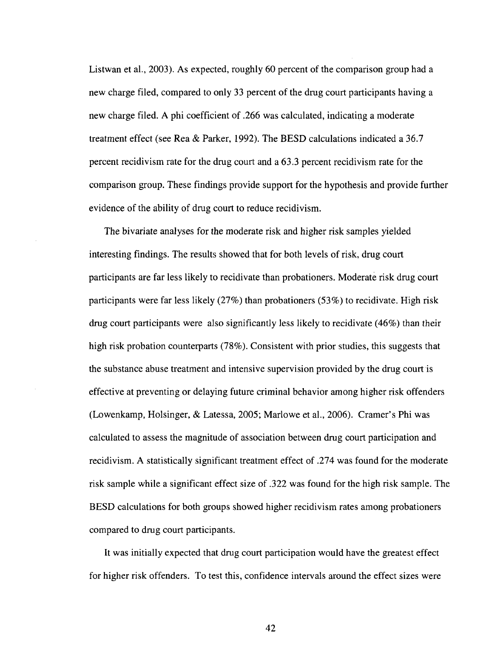Listwan et al., 2003). As expected, roughly 60 percent of the comparison group had a new charge filed, compared to only 33 percent of the drug court participants having a new charge filed. A phi coefficient of .266 was calculated, indicating a moderate treatment effect (see Rea & Parker, 1992). The BESD calculations indicated a 36.7 percent recidivism rate for the drug court and a 63.3 percent recidivism rate for the comparison group. These findings provide support for the hypothesis and provide further evidence of the ability of drug court to reduce recidivism.

The bivariate analyses for the moderate risk and higher risk samples yielded interesting findings. The results showed that for both levels of risk, drug court participants are far less likely to recidivate than probationers. Moderate risk drug court participants were far less likely (27%) than probationers (53%) to recidivate. High risk drug court participants were also significantly less likely to recidivate (46%) than their high risk probation counterparts (78%). Consistent with prior studies, this suggests that the substance abuse treatment and intensive supervision provided by the drug court is effective at preventing or delaying future criminal behavior among higher risk offenders (Lowenkamp, Holsinger, & Latessa, 2005; Marlowe et al., 2006). Cramer's Phi was calculated to assess the magnitude of association between drug court participation and recidivism. A statistically significant treatment effect of .274 was found for the moderate risk sample while a significant effect size of .322 was found for the high risk sample. The BESD calculations for both groups showed higher recidivism rates among probationers compared to drug court participants.

It was initially expected that drug court participation would have the greatest effect for higher risk offenders. To test this, confidence intervals around the effect sizes were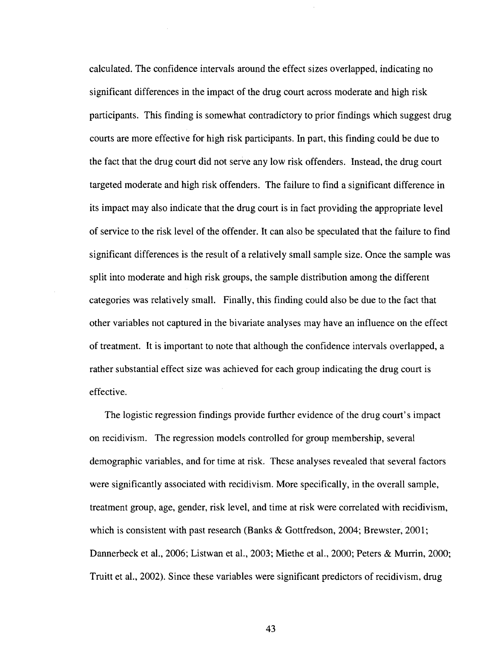calculated. The confidence intervals around the effect sizes overlapped, indicating no significant differences in the impact of the drug court across moderate and high risk participants. This finding is somewhat contradictory to prior findings which suggest drug courts are more effective for high risk participants. In part, this finding could be due to the fact that the drug court did not serve any low risk offenders. Instead, the drug court targeted moderate and high risk offenders. The failure to find a significant difference in its impact may also indicate that the drug court is in fact providing the appropriate level of service to the risk level of the offender. It can also be speculated that the failure to find significant differences is the result of a relatively small sample size. Once the sample was split into moderate and high risk groups, the sample distribution among the different categories was relatively small. Finally, this finding could also be due to the fact that other variables not captured in the bivariate analyses may have an influence on the effect of treatment. It is important to note that although the confidence intervals overlapped, a rather substantial effect size was achieved for each group indicating the drug court is effective.

The logistic regression findings provide further evidence of the drug court's impact on recidivism. The regression models controlled for group membership, several demographic variables, and for time at risk. These analyses revealed that several factors were significantly associated with recidivism. More specifically, in the overall sample, treatment group, age, gender, risk level, and time at risk were correlated with recidivism, which is consistent with past research (Banks & Gottfredson, 2004; Brewster, 2001; Dannerbeck et al., 2006; Listwan et al., 2003; Miethe et al., 2000; Peters & Murrin, 2000; Truitt et al., 2002). Since these variables were significant predictors of recidivism, drug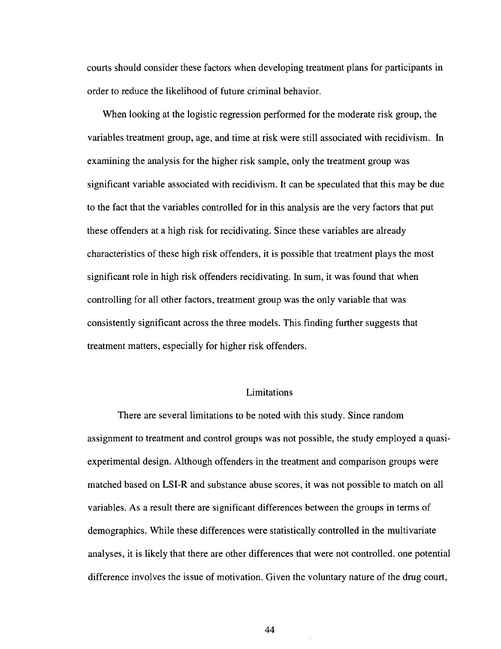courts should consider these factors when developing treatment plans for participants in order to reduce the likelihood of future criminal behavior.

When looking at the logistic regression performed for the moderate risk group, the variables treatment group, age, and time at risk were still associated with recidivism. In examining the analysis for the higher risk sample, only the treatment group was significant variable associated with recidivism. It can be speculated that this may be due to the fact that the variables controlled for in this analysis are the very factors that put these offenders at a high risk for recidivating. Since these variables are already characteristics of these high risk offenders, it is possible that treatment plays the most significant role in high risk offenders recidivating. In sum, it was found that when controlling for all other factors, treatment group was the only variable that was consistently significant across the three models. This finding further suggests that treatment matters, especially for higher risk offenders.

#### Limitations

There are several limitations to be noted with this study. Since random assignment to treatment and control groups was not possible, the study employed a quasiexperimental design. Although offenders in the treatment and comparison groups were matched based on LSI-R and substance abuse scores, it was not possible to match on all variables. As a result there are significant differences between the groups in terms of demographics. While these differences were statistically controlled in the multivariate analyses, it is likely that there are other differences that were not controlled, one potential difference involves the issue of motivation. Given the voluntary nature of the drug court,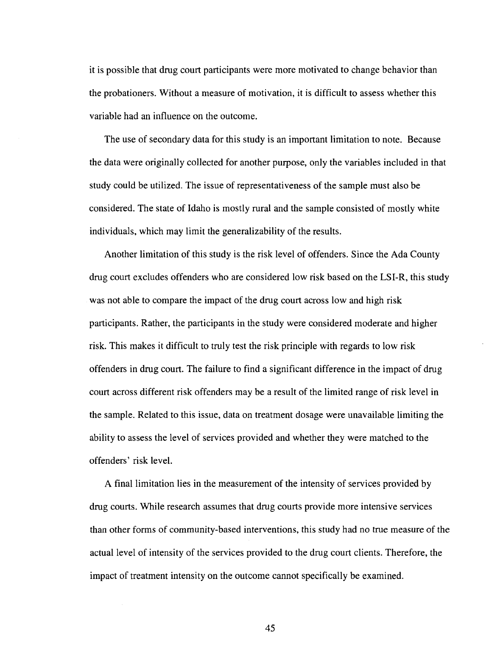it is possible that drug court participants were more motivated to change behavior than the probationers. Without a measure of motivation, it is difficult to assess whether this variable had an influence on the outcome.

The use of secondary data for this study is an important limitation to note. Because the data were originally collected for another purpose, only the variables included in that study could be utilized. The issue of representativeness of the sample must also be considered. The state of Idaho is mostly rural and the sample consisted of mostly white individuals, which may limit the generalizability of the results.

Another limitation of this study is the risk level of offenders. Since the Ada County drug court excludes offenders who are considered low risk based on the LSI-R, this study was not able to compare the impact of the drug court across low and high risk participants. Rather, the participants in the study were considered moderate and higher risk. This makes it difficult to truly test the risk principle with regards to low risk offenders in drug court. The failure to find a significant difference in the impact of drug court across different risk offenders may be a result of the limited range of risk level in the sample. Related to this issue, data on treatment dosage were unavailable limiting the ability to assess the level of services provided and whether they were matched to the offenders' risk level.

A final limitation lies in the measurement of the intensity of services provided by drug courts. While research assumes that drug courts provide more intensive services than other forms of community-based interventions, this study had no true measure of the actual level of intensity of the services provided to the drug court clients. Therefore, the impact of treatment intensity on the outcome cannot specifically be examined.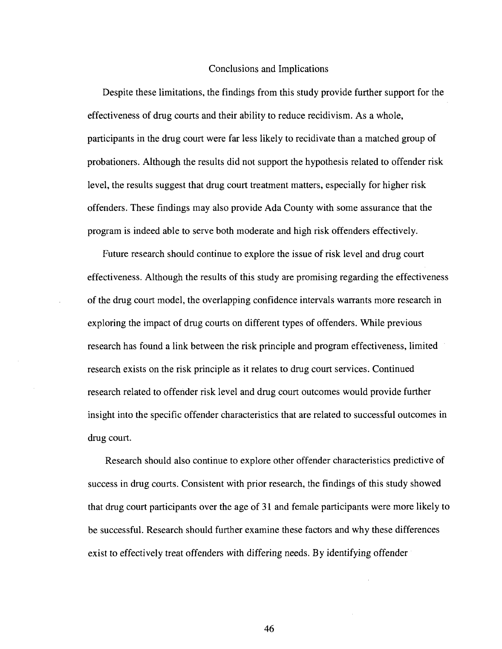#### Conclusions and Implications

Despite these limitations, the findings from this study provide further support for the effectiveness of drug courts and their ability to reduce recidivism. As a whole, participants in the drug court were far less likely to recidivate than a matched group of probationers. Although the results did not support the hypothesis related to offender risk level, the results suggest that drug court treatment matters, especially for higher risk offenders. These findings may also provide Ada County with some assurance that the program is indeed able to serve both moderate and high risk offenders effectively.

Future research should continue to explore the issue of risk level and drug court effectiveness. Although the results of this study are promising regarding the effectiveness of the drug court model, the overlapping confidence intervals warrants more research in exploring the impact of drug courts on different types of offenders. While previous research has found a link between the risk principle and program effectiveness, limited research exists on the risk principle as it relates to drug court services. Continued research related to offender risk level and drug court outcomes would provide further insight into the specific offender characteristics that are related to successful outcomes in drug court.

Research should also continue to explore other offender characteristics predictive of success in drug courts. Consistent with prior research, the findings of this study showed that drug court participants over the age of 31 and female participants were more likely to be successful. Research should further examine these factors and why these differences exist to effectively treat offenders with differing needs. By identifying offender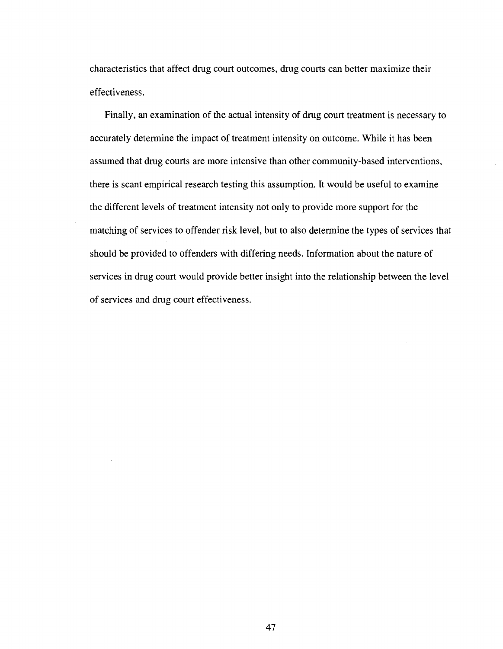characteristics that affect drug court outcomes, drug courts can better maximize their effectiveness.

Finally, an examination of the actual intensity of drug court treatment is necessary to accurately determine the impact of treatment intensity on outcome. While it has been assumed that drug courts are more intensive than other community-based interventions, there is scant empirical research testing this assumption. It would be useful to examine the different levels of treatment intensity not only to provide more support for the matching of services to offender risk level, but to also determine the types of services that should be provided to offenders with differing needs. Information about the nature of services in drug court would provide better insight into the relationship between the level of services and drug court effectiveness.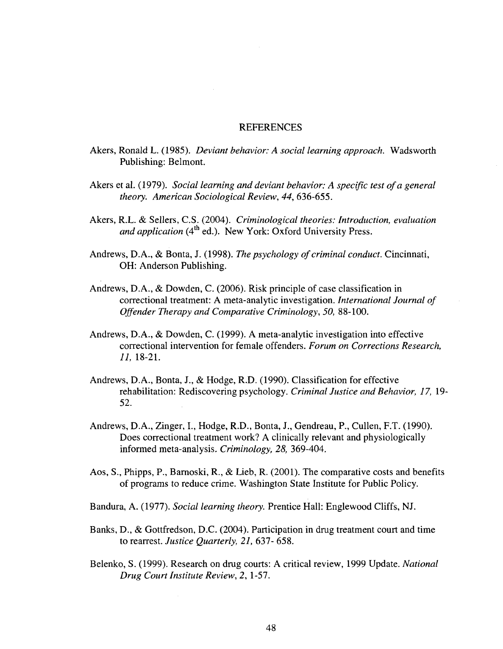#### REFERENCES

- Akers, Ronald L. (1985). *Deviant behavior: A social learning approach.* Wadsworth Publishing: Belmont.
- Akers et al. (1979). *Social learning and deviant behavior: A specific test of a general theory. American Sociological Review, 44,* 636-655.
- Akers, R.L. & Sellers, C.S. (2004). *Criminological theories: Introduction, evaluation*  and application (4<sup>th</sup> ed.). New York: Oxford University Press.
- Andrews, D.A., & Bonta, J. (1998). *The psychology of criminal conduct.* Cincinnati, OH: Anderson Publishing.
- Andrews, D.A., & Dowden, C. (2006). Risk principle of case classification in correctional treatment: A meta-analytic investigation. *International Journal of Offender Therapy and Comparative Criminology, 50,* 88-100.
- Andrews, D.A., & Dowden, C. (1999). A meta-analytic investigation into effective correctional intervention for female offenders. *Forum on Corrections Research, 11,* 18-21.
- Andrews, D.A., Bonta, J., & Hodge, R.D. (1990). Classification for effective rehabilitation: Rediscovering psychology. *Criminal Justice and Behavior, 17,* 19- 52.
- Andrews, D.A., Zinger, I., Hodge, R.D., Bonta, J., Gendreau, P., Cullen, F.T. (1990). Does correctional treatment work? A clinically relevant and physiologically informed meta-analysis. *Criminology, 28,* 369-404.
- Aos, S., Phipps, P., Barnoski, R., & Lieb, R. (2001). The comparative costs and benefits of programs to reduce crime. Washington State Institute for Public Policy.
- Bandura, A. (1977). *Social learning theory.* Prentice Hall: Englewood Cliffs, NJ.
- Banks, D., & Gottfredson, D.C. (2004). Participation in drug treatment court and time to rearrest. *Justice Quarterly, 21,* 637- 658.
- Belenko, S. (1999). Research on drug courts: A critical review, 1999 Update. *National Drug Court Institute Review,* 2, 1-57.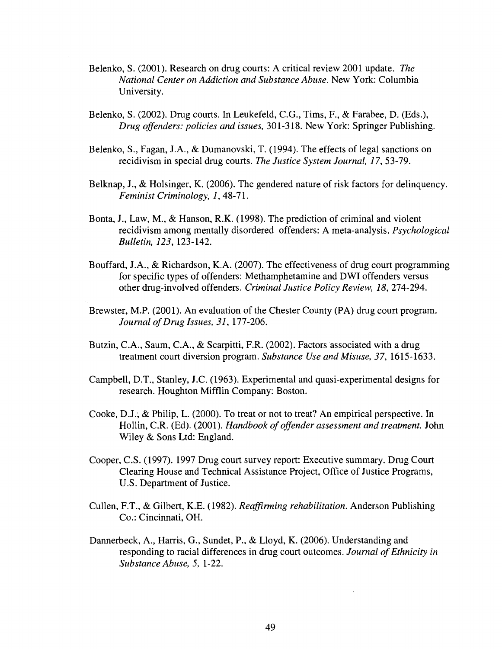- Belenko, S. (2001). Research on drug courts: A critical review 2001 update. *The National Center on Addiction and Substance Abuse.* New York: Columbia University.
- Belenko, S. (2002). Drug courts. In Leukefeld, C.G., Tims, F., & Farabee, D. (Eds.), *Drug offenders: policies and issues,* 301-318. New York: Springer Publishing.
- Belenko, S., Fagan, J.A., & Dumanovski, T. (1994). The effects of legal sanctions on recidivism in special drug courts. *The Justice System Journal, 17,* 53-79.
- Belknap, J., & Holsinger, K. (2006). The gendered nature of risk factors for delinquency. *Feminist Criminology, 1,* 48-71.
- Bonta, J., Law, M., & Hanson, R.K. (1998). The prediction of criminal and violent recidivism among mentally disordered offenders: A meta-analysis. *Psychological Bulletin, 123,* 123-142.
- Bouffard, J.A., & Richardson, K.A. (2007). The effectiveness of drug court programming for specific types of offenders: Methamphetamine and DWI offenders versus other drug-involved offenders. *Criminal Justice Policy Review, 18,* 274-294.
- Brewster, M.P. (2001). An evaluation of the Chester County (PA) drug court program. *Journal of Drug Issues, 31,* 177-206.
- Butzin, C.A., Saum, C.A., & Scarpitti, F.R. (2002). Factors associated with a drug treatment court diversion program. *Substance Use and Misuse, 37,* 1615-1633.
- Campbell, D.T., Stanley, J.C. (1963). Experimental and quasi-experimental designs for research. Houghton Mifflin Company: Boston.
- Cooke, D.J., & Philip, L. (2000). To treat or not to treat? An empirical perspective. In Hollin, C.R. (Ed). (2001). *Handbook of offender assessment and treatment.* John Wiley & Sons Ltd: England.
- Cooper, C.S. (1997). 1997 Drug court survey report: Executive summary. Drug Court Clearing House and Technical Assistance Project, Office of Justice Programs, U.S. Department of Justice.
- Cullen, F.T., & Gilbert, K.E. (1982). *Reaffirming rehabilitation.* Anderson Publishing Co.: Cincinnati, OH.
- Dannerbeck, A., Harris, G., Sundet, P., & Lloyd, K. (2006). Understanding and responding to racial differences in drug court outcomes. *Journal of Ethnicity in Substance Abuse, 5,* 1-22.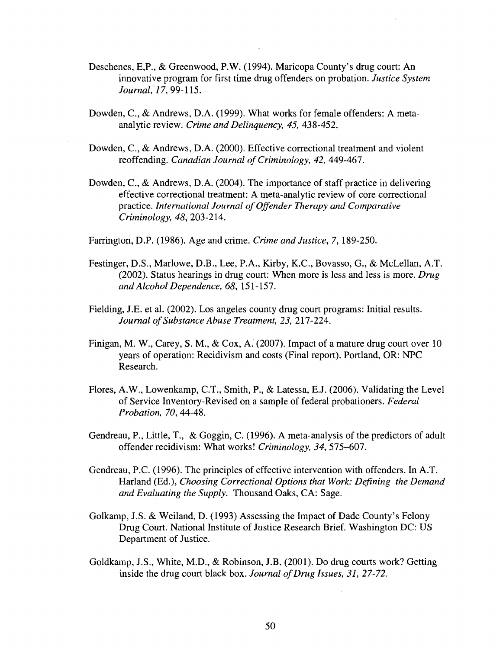- Deschenes, E,P., & Greenwood, P.W. (1994). Maricopa County's drug court: An innovative program for first time drug offenders on probation. *Justice System Journal, 17,* 99-115.
- Dowden, C, & Andrews, D.A. (1999). What works for female offenders: A metaanalytic review. *Crime and Delinquency, 45,* 438-452.
- Dowden, C, & Andrews, D.A. (2000). Effective correctional treatment and violent reoffending. *Canadian Journal of Criminology, 42,* 449-467.
- Dowden, C, & Andrews, D.A. (2004). The importance of staff practice in delivering effective correctional treatment: A meta-analytic review of core correctional practice. *International Journal of Offender Therapy and Comparative Criminology, 48,* 203-214.

Farrington, D.P. (1986). Age and crime. *Crime and Justice,* 7, 189-250.

- Festinger, D.S., Marlowe, D.B., Lee, P.A., Kirby, K.C., Bovasso, G., & McLellan, A.T. (2002). Status hearings in drug court: When more is less and less is more. *Drug and Alcohol Dependence, 68,* 151-157.
- Fielding, J.E. et al. (2002). Los angeles county drug court programs: Initial results. *Journal of Substance Abuse Treatment, 23,* 217-224.
- Finigan, M. W., Carey, S. M., & Cox, A. (2007). Impact of a mature drug court over 10 years of operation: Recidivism and costs (Final report). Portland, OR: NPC Research.
- Flores, A.W., Lowenkamp, C.T., Smith, P., & Latessa, E.J. (2006). Validating the Level of Service Inventory-Revised on a sample of federal probationers. *Federal Probation, 70,* 44-48.
- Gendreau, P., Little, T., & Goggin, C. (1996). A meta-analysis of the predictors of adult offender recidivism: What works! *Criminology, 34,* 575-607.
- Gendreau, P.C. (1996). The principles of effective intervention with offenders. In A.T. Harland (Ed.), *Choosing Correctional Options that Work: Defining the Demand and Evaluating the Supply.* Thousand Oaks, CA: Sage.
- Golkamp, J.S. & Weiland, D. (1993) Assessing the Impact of Dade County's Felony Drug Court. National Institute of Justice Research Brief. Washington DC: US Department of Justice.
- Goldkamp, J.S., White, M.D., & Robinson, J.B. (2001). Do drug courts work? Getting inside the drug court black box. *Journal of Drug Issues, 31, 27-72.*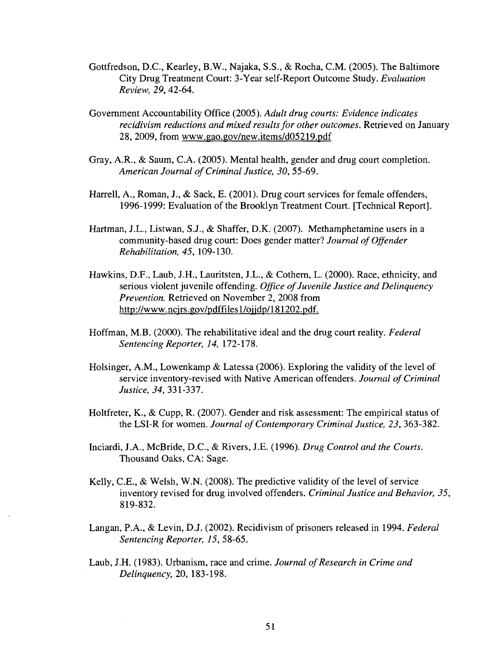- Gottfredson, D.C., Kearley, B.W., Najaka, S.S., & Rocha, CM. (2005). The Baltimore City Drug Treatment Court: 3-Year self-Report Outcome Study. *Evaluation Review, 29,* 42-64.
- Government Accountability Office (2005). *Adult drug courts: Evidence indicates recidivism reductions and mixed results for other outcomes.* Retrieved on January 28, 2009, from [www.gao.gov/new.items/d05219.pdf](http://www.gao.gov/new.items/d05219.pdf)
- Gray, A.R., & Saum, C.A. (2005). Mental health, gender and drug court completion. *American Journal of Criminal Justice, 30,* 55-69.
- Harrell, A., Roman, J., & Sack, E. (2001). Drug court services for female offenders, 1996-1999: Evaluation of the Brooklyn Treatment Court. [Technical Report].
- Hartman, J.L., Listwan, S.J., & Shaffer, D.K. (2007). Methamphetamine users in a community-based drug court: Does gender matter? *Journal of Offender Rehabilitation, 45,* 109-130.
- Hawkins, D.F., Laub, J.H., Lauritsten, J.L., & Cothern, L. (2000). Race, ethnicity, and serious violent juvenile offending. *Office of Juvenile Justice and Delinquency Prevention.* Retrieved on November 2, 2008 from [http://www.ncjrs.gov/pdffilesl/ojjdp/181202.pdf.](http://www.ncjrs.gov/pdffilesl/ojjdp/181202.pdf)
- Hoffman, M.B. (2000). The rehabilitative ideal and the drug court reality. *Federal Sentencing Reporter, 14,* 172-178.
- Holsinger, A.M., Lowenkamp & Latessa (2006). Exploring the validity of the level of service inventory-revised with Native American offenders. *Journal of Criminal Justice, 34,* 331-337.
- Holtfreter, K., & Cupp, R. (2007). Gender and risk assessment: The empirical status of the LSI-R for women. *Journal of Contemporary Criminal Justice, 23,* 363-382.
- Inciardi, J.A., McBride, D.C., & Rivers, J.E. (1996). *Drug Control and the Courts.*  Thousand Oaks, CA: Sage.
- Kelly, C.E., & Welsh, W.N. (2008). The predictive validity of the level of service inventory revised for drug involved offenders. *Criminal Justice and Behavior, 35,*  819-832.
- Langan, P.A., & Levin, D.J. (2002). Recidivism of prisoners released in 1994. *Federal Sentencing Reporter, 15,* 58-65.
- Laub, J.H. (1983). Urbanism, race and crime. *Journal of Research in Crime and Delinquency,* 20, 183-198.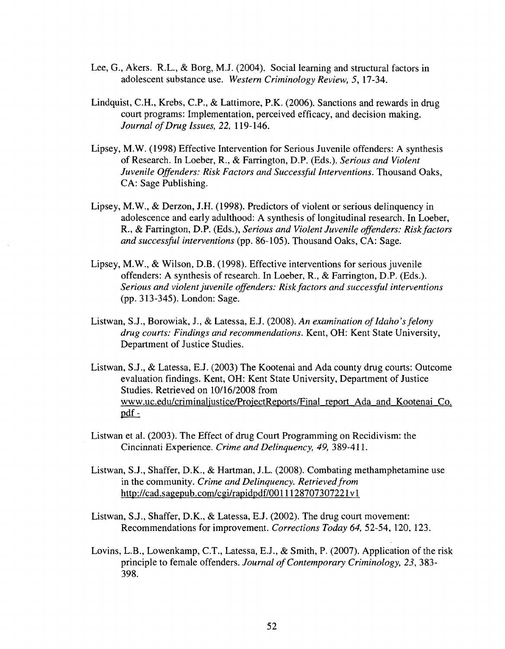- Lee, G., Akers. R.L., & Borg, M.J. (2004). Social learning and structural factors in adolescent substance use. *Western Criminology Review,* 5, 17-34.
- Lindquist, C.H., Krebs, C.P., & Lattimore, P.K. (2006). Sanctions and rewards in drug court programs: Implementation, perceived efficacy, and decision making. *Journal of Drug Issues, 22,* 119-146.
- Lipsey, M.W. (1998) Effective Intervention for Serious Juvenile offenders: A synthesis of Research. In Loeber, R., & Farrington, D.P. (Eds.). *Serious and Violent Juvenile Offenders: Risk Factors and Successful Interventions.* Thousand Oaks, CA: Sage Publishing.
- Lipsey, M.W., & Derzon, J.H. (1998). Predictors of violent or serious delinquency in adolescence and early adulthood: A synthesis of longitudinal research. In Loeber, R., & Farrington, D.P. (Eds.), *Serious and Violent Juvenile offenders: Risk factors and successful interventions* (pp. 86-105). Thousand Oaks, CA: Sage.
- Lipsey, M.W., & Wilson, D.B. (1998). Effective interventions for serious juvenile offenders: A synthesis of research. In Loeber, R., & Farrington, D.P. (Eds.). *Serious and violent juvenile offenders: Risk factors and successful interventions*  (pp. 313-345). London: Sage.
- Listwan, S.J., Borowiak, J., & Latessa, E.J. (2008). *An examination of Idaho's felony drug courts: Findings and recommendations.* Kent, OH: Kent State University, Department of Justice Studies.
- Listwan, S.J., & Latessa, E.J. (2003) The Kootenai and Ada county drug courts: Outcome evaluation findings. Kent, OH: Kent State University, Department of Justice Studies. Retrieved on 10/16/2008 from [www.uc.edu/criminaljustice/ProiectReports/Final](http://www.uc.edu/criminaljustice/ProiectReports/Final) report Ada and Kootenai Co. pdf-
- Listwan et al. (2003). The Effect of drug Court Programming on Recidivism: the Cincinnati Experience. *Crime and Delinquency, 49,* 389-411.
- Listwan, S.J., Shaffer, D.K., & Hartman, J.L. (2008). Combating methamphetamine use in the community. *Crime and Delinquency. Retrieved from*  [http://cad.sagepub.com/cgi/rapidpdf/00111](http://cad.sagepub.com/cgi/rapidpdf/001)28707307221vl
- Listwan, S.J., Shaffer, D.K., & Latessa, E.J. (2002). The drug court movement: Recommendations for improvement. *Corrections Today 64,* 52-54, 120, 123.
- Lovins, L.B., Lowenkamp, C.T., Latessa, E.J., & Smith, P. (2007). Application of the risk principle to female offenders. *Journal of Contemporary Criminology, 23,* 383- 398.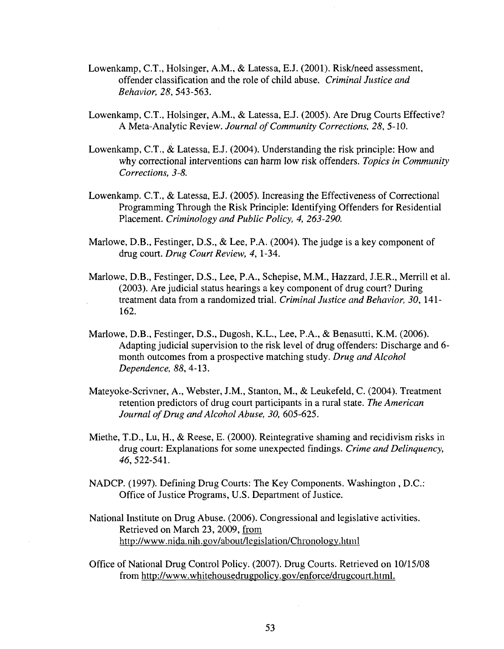- Lowenkamp, C.T., Holsinger, A.M., & Latessa, E.J. (2001). Risk/need assessment, offender classification and the role of child abuse. *Criminal Justice and Behavior, 28,* 543-563.
- Lowenkamp, C.T., Holsinger, A.M., & Latessa, E.J. (2005). Are Drug Courts Effective? A Meta-Analytic Review. *Journal of Community Corrections, 28,* 5-10.
- Lowenkamp, C.T., & Latessa, E.J. (2004). Understanding the risk principle: How and why correctional interventions can harm low risk offenders. *Topics in Community Corrections, 3-8.*
- Lowenkamp. C.T., & Latessa, E.J. (2005). Increasing the Effectiveness of Correctional Programming Through the Risk Principle: Identifying Offenders for Residential Placement. *Criminology and Public Policy, 4, 263-290.*
- Marlowe, D.B., Festinger, D.S., & Lee, P.A. (2004). The judge is a key component of drug court. *Drug Court Review, 4,* 1-34.
- Marlowe, D.B., Festinger, D.S., Lee, P.A., Schepise, M.M., Hazzard, J.E.R., Merrill et al. (2003). Are judicial status hearings a key component of drug court? During treatment data from a randomized trial. *Criminal Justice and Behavior, 30,* 141- 162.
- Marlowe, D.B., Festinger, D.S., Dugosh, K.L., Lee, P.A., & Benasutti, K.M. (2006). Adapting judicial supervision to the risk level of drug offenders: Discharge and 6 month outcomes from a prospective matching study. *Drug and Alcohol Dependence, 88,* 4-13.
- Mateyoke-Scrivner, A., Webster, J.M., Stanton, M., & Leukefeld, C. (2004). Treatment retention predictors of drug court participants in a rural state. *The American Journal of Drug and Alcohol Abuse, 30,* 605-625.
- Miethe, T.D., Lu, H., & Reese, E. (2000). Reintegrative shaming and recidivism risks in drug court: Explanations for some unexpected findings. *Crime and Delinquency, 46,522-541.*
- NADCP. (1997). Defining Drug Courts: The Key Components. Washington , D.C.: Office of Justice Programs, U.S. Department of Justice.
- National Institute on Drug Abuse. (2006). Congressional and legislative activities. Retrieved on March 23, 2009, from <http://www.nida.nih.gov/about/legislation/Chronology.html>
- Office of National Drug Control Policy. (2007). Drug Courts. Retrieved on 10/15/08 from [http://www.whitehousedrugpolicy.gov/enforce/drugcourt.html.](http://www.whitehousedrugpolicy.gov/enforce/drugcourt.html)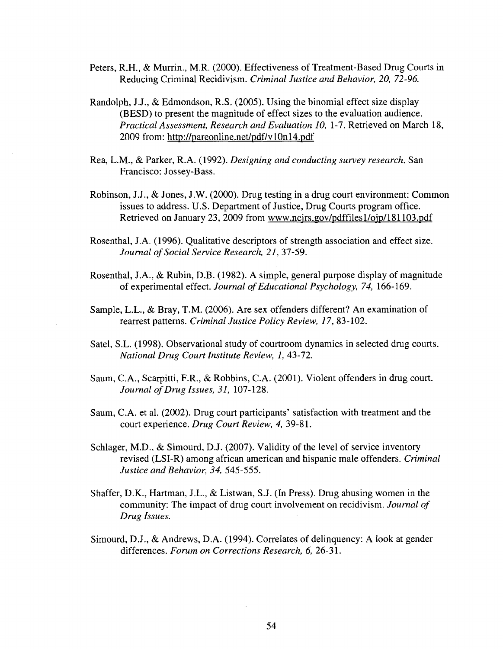- Peters, R.H., & Murrin., M.R. (2000). Effectiveness of Treatment-Based Drug Courts in Reducing Criminal Recidivism. *Criminal Justice and Behavior, 20, 72-96.*
- Randolph, J.J., & Edmondson, R.S. (2005). Using the binomial effect size display (BESD) to present the magnitude of effect sizes to the evaluation audience. *Practical Assessment, Research and Evaluation 10,* 1-7. Retrieved on March 18, 2009 from: <http://pareonline.net/pdf/vl0nl4.pdf>
- Rea, L.M., & Parker, R.A. (1992). *Designing and conducting survey research.* San Francisco: Jossey-Bass.
- Robinson, J.J., & Jones, J.W. (2000). Drug testing in a drug court environment: Common issues to address. U.S. Department of Justice, Drug Courts program office. Retrieved on January 23, 2009 from [www.ncjrs.gov/pdffiles 1](http://www.ncjrs.gov/pdffiles)/ojp/l81103.pdf
- Rosenthal, J.A. (1996). Qualitative descriptors of strength association and effect size. *Journal of Social Service Research, 21,* 37-59.
- Rosenthal, J.A., & Rubin, D.B. (1982). A simple, general purpose display of magnitude of experimental effect. *Journal of Educational Psychology, 74,* 166-169.
- Sample, L.L., & Bray, T.M. (2006). Are sex offenders different? An examination of rearrest patterns. *Criminal Justice Policy Review, 17,* 83-102.
- Satel, S.L. (1998). Observational study of courtroom dynamics in selected drug courts. *National Drug Court Institute Review, 1,* 43-72.
- Saum, C.A., Scarpitti, F.R., & Robbins, C.A. (2001). Violent offenders in drug court. *Journal of Drug Issues, 31,* 107-128.
- Saum, C.A. et al. (2002). Drug court participants' satisfaction with treatment and the court experience. *Drug Court Review, 4,* 39-81.
- Schlager, M.D., & Simourd, D.J. (2007). Validity of the level of service inventory revised (LSI-R) among african american and hispanic male offenders. *Criminal Justice and Behavior, 34,* 545-555.
- Shaffer, D.K., Hartman, J.L., & Listwan, S.J. (In Press). Drug abusing women in the community: The impact of drug court involvement on recidivism. *Journal of Drug Issues.*
- Simourd, D.J., & Andrews, D.A. (1994). Correlates of delinquency: A look at gender differences. *Forum on Corrections Research, 6,* 26-31.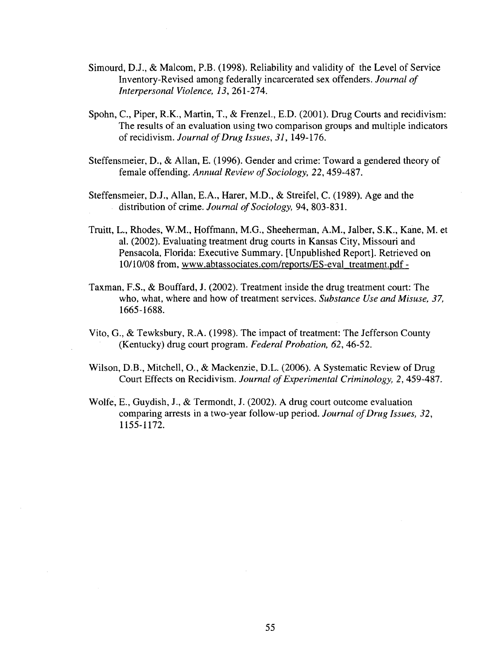- Simourd, D.J., & Malcom, P.B. (1998). Reliability and validity of the Level of Service Inventory-Revised among federally incarcerated sex offenders. *Journal of Interpersonal Violence, 13, 261-274.*
- Spohn, C, Piper, R.K., Martin, T., & Frenzel., E.D. (2001). Drug Courts and recidivism: The results of an evaluation using two comparison groups and multiple indicators of recidivism. *Journal of Drug Issues, 31,* 149-176.
- Steffensmeier, D., & Allan, E. (1996). Gender and crime: Toward a gendered theory of female offending. *Annual Review of Sociology, 22,* 459-487.
- Steffensmeier, D.J., Allan, E.A., Harer, M.D., & Streifel, C. (1989). Age and the distribution of crime. *Journal of Sociology,* 94, 803-831.
- Truitt, L., Rhodes, W.M., Hoffmann, M.G., Sheeherman, A.M., Jalber, S.K., Kane, M. et al. (2002). Evaluating treatment drug courts in Kansas City, Missouri and Pensacola, Florida: Executive Summary. [Unpublished Report]. Retrieved on 10/10/08 from, [www.abtassociates.com/reports/ES-eval](http://www.abtassociates.com/reports/ES-eval) treatment.pdf -
- Taxman, F.S., & Bouffard, J. (2002). Treatment inside the drug treatment court: The who, what, where and how of treatment services. *Substance Use and Misuse, 37,*  1665-1688.
- Vito, G., & Tewksbury, R.A. (1998). The impact of treatment: The Jefferson County (Kentucky) drug court program. *Federal Probation, 62,* 46-52.
- Wilson, D.B., Mitchell, O., & Mackenzie, D.L. (2006). A Systematic Review of Drug Court Effects on Recidivism. *Journal of Experimental Criminology, 2,* 459-487.
- Wolfe, E., Guydish, J., & Termondt, J. (2002). A drug court outcome evaluation comparing arrests in a two-year follow-up period. *Journal of Drug Issues, 32,*  1155-1172.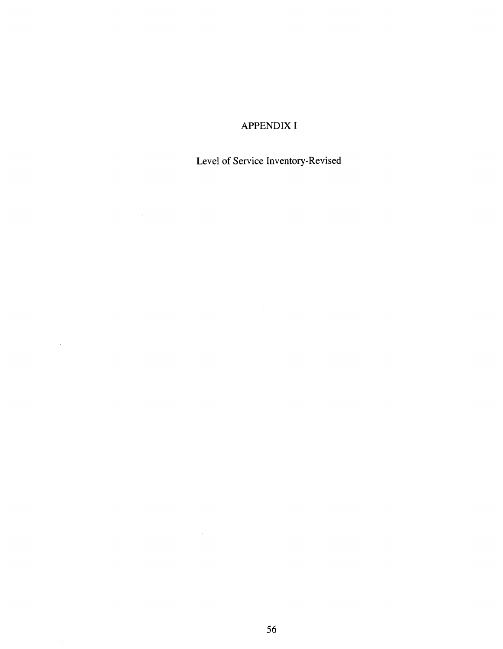## APPENDIX I

# Level of Service Inventory-Revised

 $\label{eq:2.1} \frac{1}{\sqrt{2\pi}}\int_{0}^{\infty}\frac{1}{\sqrt{2\pi}}\left(\frac{1}{\sqrt{2\pi}}\right)^{2\alpha} \frac{d\alpha}{\alpha} \,d\beta.$ 

 $\sim$   $\sim$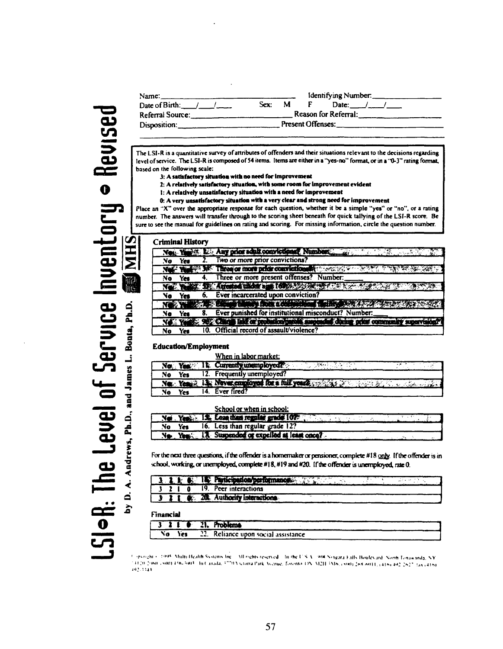**cn o**  LSI-R: The Level of Service

| Name: $\Box$                                 |        |  | Identifying Number: |                      |  |  |
|----------------------------------------------|--------|--|---------------------|----------------------|--|--|
| Date of Birth: $\frac{1}{2}$ / $\frac{1}{2}$ | Sex: M |  |                     | Date: $/$            |  |  |
| Referral Source: .                           |        |  |                     | Reason for Referral: |  |  |
| Disposition:_                                |        |  | Present Offenses:   |                      |  |  |
|                                              |        |  |                     |                      |  |  |

**The LS1-R is a quantitative survey of attributes of offenders and their situations relevant to the decisions regarding level of service. The LSI-R is composed of 54 items. Items are either in a "yes-no" format, or in a "0-3" rating format, based on the following scale:** 

- *i:* **A satisfactory situarioa with no need for Improvement**
- **2: A relatively satisfactory situarioa, with some room for Improvement evident**
- **I: A relatively unsatisfactory situation with a need for improvement**
- **0: A very unsatisfactory situation with a very clear and strong need for improvement**

**Place an X" over the appropriate response for each question, whether it be a simple "yes" or "no", or a rating number. The answers will transfer through to the scoring sheet beneath for quick tallying of the LSI-R score. Be sure to see the manual for guidelines on rating and scoring. For missing information, circle the question number.** 

| <b>Criminal History</b> |     |                                                                                                                                                                                                                                                                             |
|-------------------------|-----|-----------------------------------------------------------------------------------------------------------------------------------------------------------------------------------------------------------------------------------------------------------------------------|
|                         |     | Ness Year of List Any prior adult convictions? Numbers and a<br>المتعارض والمحارب                                                                                                                                                                                           |
| No.                     | Yes | Two or more prior convictions?                                                                                                                                                                                                                                              |
|                         |     | Net Year 198 Three or more prior convictionally working                                                                                                                                                                                                                     |
| No                      | Yes | Three or more present offenses? Number:                                                                                                                                                                                                                                     |
|                         |     | No. 1944. It Arene there is 160 and the contract of the contract of the                                                                                                                                                                                                     |
|                         | Yes | Ever incarcerated upon conviction?                                                                                                                                                                                                                                          |
|                         |     | <b>INGLE COMMUNISME THE RESIDENCE AND A PROPERTY</b>                                                                                                                                                                                                                        |
| No                      | Yes | Ever punished for institutional misconduct? Number:                                                                                                                                                                                                                         |
|                         |     | <b>Contract of the Contract of Contract of the Contract of the Contract of the Contract of the Contract of the Contract of the Contract of the Contract of the Contract of the Contract of the Contract of the Contract of the C</b><br>mended direct ora<br>f. community s |
| No                      | Yes | 10. Official record of assault/violence?                                                                                                                                                                                                                                    |

#### **Education/Employment**

|    |            | When in labor market:                                                                   |  |
|----|------------|-----------------------------------------------------------------------------------------|--|
|    |            | No. Yes. It Currently unemployed.<br>$-300.11$                                          |  |
| No | <b>Yes</b> | 12. Frequently unemployed?                                                              |  |
|    |            | Net: Year 2 13: Never employed for a full years, which is the state of the state of the |  |
| No | Yes        | Ever fired?                                                                             |  |

|    |     | School or when in school:                        |
|----|-----|--------------------------------------------------|
|    |     | Net Yes 15. Less than regular grade 107          |
| No | Yes | 16. Less than regular grade 12?                  |
|    |     | No. Yes. 12 Suspended or expelled at least once? |
|    |     |                                                  |

For the next three questions, if the offender is a homemaker or pensioner, complete #18 only. If the offender is in school. working, or unemployed, corriplete #18, #19 and #20. If the offender is unemployed, rate 0.

|  |  |  | 19. Peer interactions                                                                                                                                                                                                                                                                                               |
|--|--|--|---------------------------------------------------------------------------------------------------------------------------------------------------------------------------------------------------------------------------------------------------------------------------------------------------------------------|
|  |  |  | $\frac{1}{2}$ $\frac{1}{2}$ $\frac{1}{2}$ $\frac{1}{2}$ $\frac{1}{2}$ $\frac{1}{2}$ $\frac{1}{2}$ $\frac{1}{2}$ $\frac{1}{2}$ $\frac{1}{2}$ $\frac{1}{2}$ $\frac{1}{2}$ $\frac{1}{2}$ $\frac{1}{2}$ $\frac{1}{2}$ $\frac{1}{2}$ $\frac{1}{2}$ $\frac{1}{2}$ $\frac{1}{2}$ $\frac{1}{2}$ $\frac{1}{2}$ $\frac{1}{2}$ |

**Financial** 

| . |     |                                     |
|---|-----|-------------------------------------|
|   |     | $3 \t3 \t1 \t6 \t21$ . Problems     |
|   |     |                                     |
|   | Yes | 22. Reliance upon social assistance |
|   |     |                                     |

**r;;hi • :•>•>« Mulii.|li-.ilih St.i.'im Inc Ml "Chi. i(«nr j In ihf I' S \ 'XW \>w.ir.i KilN ttoulot jrd Nunh r,>i.iu.imli. N V i ."'11111 .Mlill l'ii-:i»il In I .IIUIU. ; "!!\i,i.ma I'jik Xt.'nih". furi'nM UN \i:i | :\ln , vm\* >H.MI|| . , 4IIS, 41; ;•,\_'- :.,, ,4in<sup>p</sup>**

MH 副账 A. Andrews, Ph.D., and James L. Bonta, Ph.D.  $\overrightarrow{a}$  $\mathbf{\hat{a}}$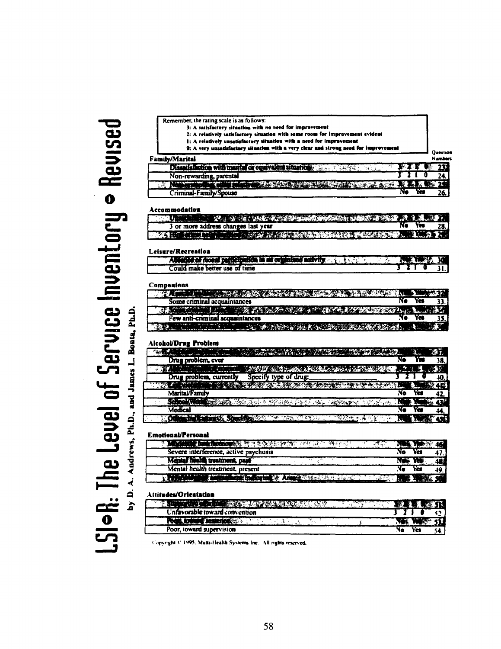# **CD**   $\Xi$ **aj o**  <u>به</u> <u>تي به</u>

**a** 

**.O** 

| 2: A relatively satisfactory situation with some room for improvement evident                                                                                            |                                         |                            |
|--------------------------------------------------------------------------------------------------------------------------------------------------------------------------|-----------------------------------------|----------------------------|
| 1: A relatively unsatisfactory situation with a need for improvement<br>0: A very unsatisfactory situation with a very clear and strong need for improvement             |                                         |                            |
| <b>Family/Marital</b>                                                                                                                                                    |                                         | Question<br><b>Numbers</b> |
| Dissets faction with marita or courvalent situation without                                                                                                              | 83 X J                                  | 233                        |
| Non-rewarding, parental                                                                                                                                                  |                                         | 24.                        |
| <b>PRODUCTION</b><br>Criminal-Family/Spouse                                                                                                                              | <b>BOOK ALCOHOL</b><br>Yes<br>Ne        | 26.                        |
| Accommodation                                                                                                                                                            |                                         |                            |
| <b>The State War of the Complete Market and</b>                                                                                                                          |                                         |                            |
| 3 or more address changes last year                                                                                                                                      | No                                      |                            |
| SOLO CHOICH IN THE BOSTON SOLO COMPANY PRESS                                                                                                                             | 331                                     |                            |
| Leisure/Recreation<br>老人の子                                                                                                                                               |                                         |                            |
| A MARK OF BISHOP PERSON IN BISHOP HOME RELY IN ANY<br>Could make better use of time                                                                                      |                                         | 31                         |
|                                                                                                                                                                          |                                         |                            |
| Companiens                                                                                                                                                               |                                         |                            |
| FLATT TILL HIDELINER LAND DER REAL PALITAN DER DER                                                                                                                       | No                                      |                            |
| Some criminal acquaintances                                                                                                                                              | 978-774-47                              | 33.                        |
| <b>身条 COMPOST</b><br>$\mathbb{R} \rightarrow \mathbb{Z}$ is the set of $\mathbb{Z}$<br>Few anti-criminal acquaintances                                                   |                                         |                            |
| <b>Ba</b> rick C<br>A WELFALL A DELIBERTY OF A                                                                                                                           |                                         |                            |
| Alcohol/Drug Problem<br><b>CONTRACTOR</b><br>منسلا                                                                                                                       | <b>THE SHOP SHOP AND A</b><br>Vē<br>Yan |                            |
| Drug problem, ever                                                                                                                                                       |                                         | 38.                        |
| <b>TRANSPORT</b><br><b>ATTACHED AND ALL AND ALL AND A</b><br><u> Tantan d</u><br>Specify type of drug:                                                                   | . 252                                   | ES 19                      |
| Drug problem, currently<br><b>TAS OF WEIGHT</b><br><b>CAR SAN AND AND THE REPORT OF THE REPORT OF THE REPORT OF THE REPORT OF THE REPORT OF THE REPORT OF THE REPORT</b> |                                         | 40.                        |
| <b>Marital/Family</b>                                                                                                                                                    | Yer                                     | 46<br>42                   |
| SCHOOL WITH COMPANY AND A STREET CONTROL CONTROL                                                                                                                         | 经地 船兵队<br>'N                            |                            |
| <b>Medical</b>                                                                                                                                                           | Ye<br>Yer                               | M                          |
| <b>MOLES MEETING</b><br><b>A MARINA RASA</b><br>「不下変われる海のビー」。<br>di Service                                                                                              | м                                       |                            |
|                                                                                                                                                                          |                                         |                            |
| <b>Emotional/Personal</b><br>Marketing and the county of the energy profit and later<br>२ के प्रक्रम महार                                                                | تتوازد                                  |                            |
| Severe interference, active psychosis                                                                                                                                    | No<br>Yes                               | 46                         |
| Mental hissita treatment, past                                                                                                                                           | NС<br>w                                 | 47                         |
| Mental health treatment, present                                                                                                                                         | Ne<br>Yes                               | 48<br>49                   |
| <b>Sal Montgott &amp; Arange Williams And Communication</b>                                                                                                              |                                         |                            |
|                                                                                                                                                                          |                                         |                            |
| Atti <b>tudes/Orientation</b>                                                                                                                                            |                                         |                            |
| A LITTLE TO A CONTRACTOR AND                                                                                                                                             |                                         |                            |
| Unfavorable toward convention                                                                                                                                            |                                         |                            |
| <b>Poles Bonnes Contemporary</b><br>٨.<br>승규가 가능                                                                                                                         |                                         |                            |
| Poor, toward supervision                                                                                                                                                 | No<br>Yes                               | 54                         |

Copyright <sup>c.</sup> 1995. Multi-Health Systems Inc. All rights reserved.

**Remember, the rating scale is as follows: J: A sattofKtory lirnatloo with IM need for Improvement**